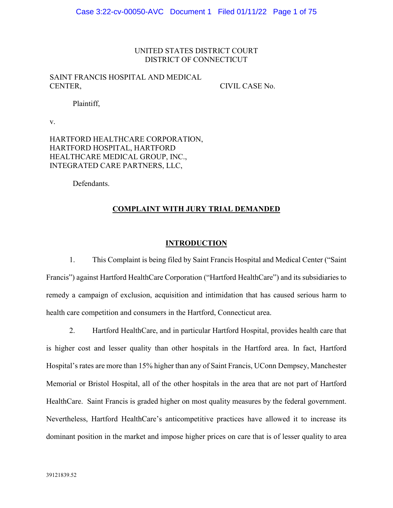## UNITED STATES DISTRICT COURT DISTRICT OF CONNECTICUT

# SAINT FRANCIS HOSPITAL AND MEDICAL CENTER,

CIVIL CASE No.

Plaintiff,

v.

HARTFORD HEALTHCARE CORPORATION, HARTFORD HOSPITAL, HARTFORD HEALTHCARE MEDICAL GROUP, INC., INTEGRATED CARE PARTNERS, LLC,

Defendants.

## **COMPLAINT WITH JURY TRIAL DEMANDED**

# **INTRODUCTION**

1. This Complaint is being filed by Saint Francis Hospital and Medical Center ("Saint Francis") against Hartford HealthCare Corporation ("Hartford HealthCare") and its subsidiaries to remedy a campaign of exclusion, acquisition and intimidation that has caused serious harm to health care competition and consumers in the Hartford, Connecticut area.

2. Hartford HealthCare, and in particular Hartford Hospital, provides health care that is higher cost and lesser quality than other hospitals in the Hartford area. In fact, Hartford Hospital's rates are more than 15% higher than any of Saint Francis, UConn Dempsey, Manchester Memorial or Bristol Hospital, all of the other hospitals in the area that are not part of Hartford HealthCare. Saint Francis is graded higher on most quality measures by the federal government. Nevertheless, Hartford HealthCare's anticompetitive practices have allowed it to increase its dominant position in the market and impose higher prices on care that is of lesser quality to area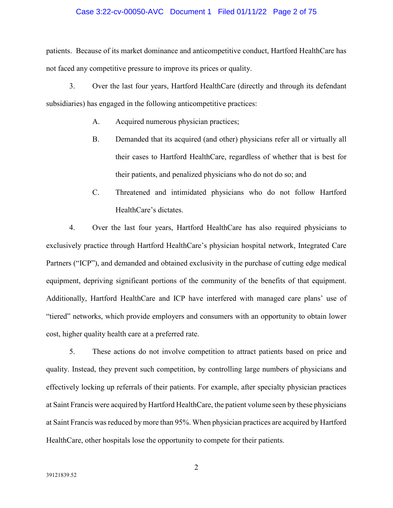### Case 3:22-cv-00050-AVC Document 1 Filed 01/11/22 Page 2 of 75

patients. Because of its market dominance and anticompetitive conduct, Hartford HealthCare has not faced any competitive pressure to improve its prices or quality.

3. Over the last four years, Hartford HealthCare (directly and through its defendant subsidiaries) has engaged in the following anticompetitive practices:

- A. Acquired numerous physician practices;
- B. Demanded that its acquired (and other) physicians refer all or virtually all their cases to Hartford HealthCare, regardless of whether that is best for their patients, and penalized physicians who do not do so; and
- C. Threatened and intimidated physicians who do not follow Hartford HealthCare's dictates.

4. Over the last four years, Hartford HealthCare has also required physicians to exclusively practice through Hartford HealthCare's physician hospital network, Integrated Care Partners ("ICP"), and demanded and obtained exclusivity in the purchase of cutting edge medical equipment, depriving significant portions of the community of the benefits of that equipment. Additionally, Hartford HealthCare and ICP have interfered with managed care plans' use of "tiered" networks, which provide employers and consumers with an opportunity to obtain lower cost, higher quality health care at a preferred rate.

5. These actions do not involve competition to attract patients based on price and quality. Instead, they prevent such competition, by controlling large numbers of physicians and effectively locking up referrals of their patients. For example, after specialty physician practices at Saint Francis were acquired by Hartford HealthCare, the patient volume seen by these physicians at Saint Francis was reduced by more than 95%. When physician practices are acquired by Hartford HealthCare, other hospitals lose the opportunity to compete for their patients.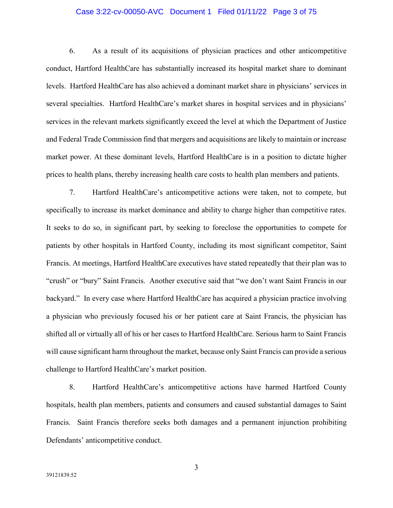### Case 3:22-cv-00050-AVC Document 1 Filed 01/11/22 Page 3 of 75

6. As a result of its acquisitions of physician practices and other anticompetitive conduct, Hartford HealthCare has substantially increased its hospital market share to dominant levels. Hartford HealthCare has also achieved a dominant market share in physicians' services in several specialties. Hartford HealthCare's market shares in hospital services and in physicians' services in the relevant markets significantly exceed the level at which the Department of Justice and Federal Trade Commission find that mergers and acquisitions are likely to maintain or increase market power. At these dominant levels, Hartford HealthCare is in a position to dictate higher prices to health plans, thereby increasing health care costs to health plan members and patients.

7. Hartford HealthCare's anticompetitive actions were taken, not to compete, but specifically to increase its market dominance and ability to charge higher than competitive rates. It seeks to do so, in significant part, by seeking to foreclose the opportunities to compete for patients by other hospitals in Hartford County, including its most significant competitor, Saint Francis. At meetings, Hartford HealthCare executives have stated repeatedly that their plan was to "crush" or "bury" Saint Francis. Another executive said that "we don't want Saint Francis in our backyard." In every case where Hartford HealthCare has acquired a physician practice involving a physician who previously focused his or her patient care at Saint Francis, the physician has shifted all or virtually all of his or her cases to Hartford HealthCare. Serious harm to Saint Francis will cause significant harm throughout the market, because only Saint Francis can provide a serious challenge to Hartford HealthCare's market position.

8. Hartford HealthCare's anticompetitive actions have harmed Hartford County hospitals, health plan members, patients and consumers and caused substantial damages to Saint Francis. Saint Francis therefore seeks both damages and a permanent injunction prohibiting Defendants' anticompetitive conduct.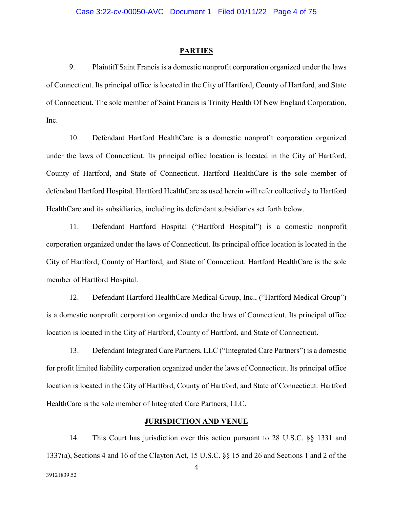#### **PARTIES**

9. Plaintiff Saint Francis is a domestic nonprofit corporation organized under the laws of Connecticut. Its principal office is located in the City of Hartford, County of Hartford, and State of Connecticut. The sole member of Saint Francis is Trinity Health Of New England Corporation, Inc.

10. Defendant Hartford HealthCare is a domestic nonprofit corporation organized under the laws of Connecticut. Its principal office location is located in the City of Hartford, County of Hartford, and State of Connecticut. Hartford HealthCare is the sole member of defendant Hartford Hospital. Hartford HealthCare as used herein will refer collectively to Hartford HealthCare and its subsidiaries, including its defendant subsidiaries set forth below.

11. Defendant Hartford Hospital ("Hartford Hospital") is a domestic nonprofit corporation organized under the laws of Connecticut. Its principal office location is located in the City of Hartford, County of Hartford, and State of Connecticut. Hartford HealthCare is the sole member of Hartford Hospital.

12. Defendant Hartford HealthCare Medical Group, Inc., ("Hartford Medical Group") is a domestic nonprofit corporation organized under the laws of Connecticut. Its principal office location is located in the City of Hartford, County of Hartford, and State of Connecticut.

13. Defendant Integrated Care Partners, LLC ("Integrated Care Partners") is a domestic for profit limited liability corporation organized under the laws of Connecticut. Its principal office location is located in the City of Hartford, County of Hartford, and State of Connecticut. Hartford HealthCare is the sole member of Integrated Care Partners, LLC.

## **JURISDICTION AND VENUE**

14. This Court has jurisdiction over this action pursuant to 28 U.S.C. §§ 1331 and 1337(a), Sections 4 and 16 of the Clayton Act, 15 U.S.C. §§ 15 and 26 and Sections 1 and 2 of the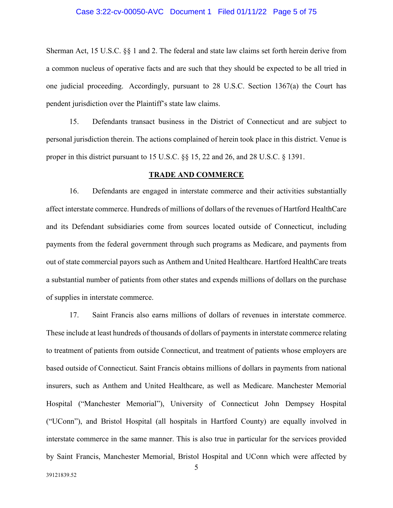### Case 3:22-cv-00050-AVC Document 1 Filed 01/11/22 Page 5 of 75

Sherman Act, 15 U.S.C. §§ 1 and 2. The federal and state law claims set forth herein derive from a common nucleus of operative facts and are such that they should be expected to be all tried in one judicial proceeding. Accordingly, pursuant to 28 U.S.C. Section 1367(a) the Court has pendent jurisdiction over the Plaintiff's state law claims.

15. Defendants transact business in the District of Connecticut and are subject to personal jurisdiction therein. The actions complained of herein took place in this district. Venue is proper in this district pursuant to 15 U.S.C. §§ 15, 22 and 26, and 28 U.S.C. § 1391.

### **TRADE AND COMMERCE**

16. Defendants are engaged in interstate commerce and their activities substantially affect interstate commerce. Hundreds of millions of dollars of the revenues of Hartford HealthCare and its Defendant subsidiaries come from sources located outside of Connecticut, including payments from the federal government through such programs as Medicare, and payments from out of state commercial payors such as Anthem and United Healthcare. Hartford HealthCare treats a substantial number of patients from other states and expends millions of dollars on the purchase of supplies in interstate commerce.

17. Saint Francis also earns millions of dollars of revenues in interstate commerce. These include at least hundreds of thousands of dollars of payments in interstate commerce relating to treatment of patients from outside Connecticut, and treatment of patients whose employers are based outside of Connecticut. Saint Francis obtains millions of dollars in payments from national insurers, such as Anthem and United Healthcare, as well as Medicare. Manchester Memorial Hospital ("Manchester Memorial"), University of Connecticut John Dempsey Hospital ("UConn"), and Bristol Hospital (all hospitals in Hartford County) are equally involved in interstate commerce in the same manner. This is also true in particular for the services provided by Saint Francis, Manchester Memorial, Bristol Hospital and UConn which were affected by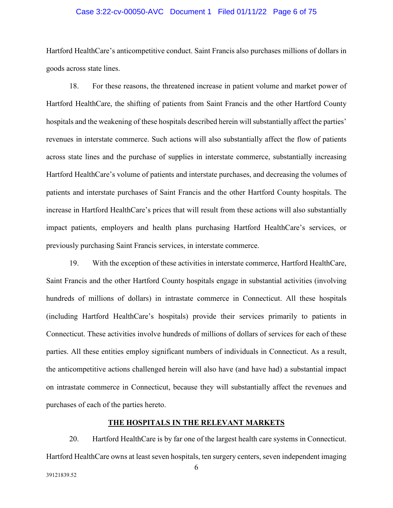## Case 3:22-cv-00050-AVC Document 1 Filed 01/11/22 Page 6 of 75

Hartford HealthCare's anticompetitive conduct. Saint Francis also purchases millions of dollars in goods across state lines.

18. For these reasons, the threatened increase in patient volume and market power of Hartford HealthCare, the shifting of patients from Saint Francis and the other Hartford County hospitals and the weakening of these hospitals described herein will substantially affect the parties' revenues in interstate commerce. Such actions will also substantially affect the flow of patients across state lines and the purchase of supplies in interstate commerce, substantially increasing Hartford HealthCare's volume of patients and interstate purchases, and decreasing the volumes of patients and interstate purchases of Saint Francis and the other Hartford County hospitals. The increase in Hartford HealthCare's prices that will result from these actions will also substantially impact patients, employers and health plans purchasing Hartford HealthCare's services, or previously purchasing Saint Francis services, in interstate commerce.

19. With the exception of these activities in interstate commerce, Hartford HealthCare, Saint Francis and the other Hartford County hospitals engage in substantial activities (involving hundreds of millions of dollars) in intrastate commerce in Connecticut. All these hospitals (including Hartford HealthCare's hospitals) provide their services primarily to patients in Connecticut. These activities involve hundreds of millions of dollars of services for each of these parties. All these entities employ significant numbers of individuals in Connecticut. As a result, the anticompetitive actions challenged herein will also have (and have had) a substantial impact on intrastate commerce in Connecticut, because they will substantially affect the revenues and purchases of each of the parties hereto.

# **THE HOSPITALS IN THE RELEVANT MARKETS**

20. Hartford HealthCare is by far one of the largest health care systems in Connecticut. Hartford HealthCare owns at least seven hospitals, ten surgery centers, seven independent imaging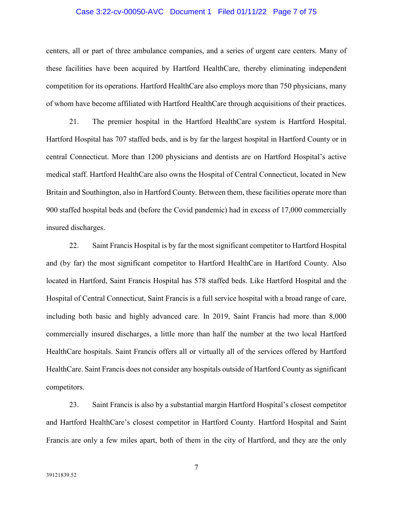#### Case 3:22-cv-00050-AVC Document 1 Filed 01/11/22 Page 7 of 75

centers, all or part of three ambulance companies, and a series of urgent care centers. Many of these facilities have been acquired by Hartford HealthCare, thereby eliminating independent competition for its operations. Hartford HealthCare also employs more than 750 physicians, many of whom have become affiliated with Hartford HealthCare through acquisitions of their practices.

21. The premier hospital in the Hartford HealthCare system is Hartford Hospital. Hartford Hospital has 707 staffed beds, and is by far the largest hospital in Hartford County or in central Connecticut. More than 1200 physicians and dentists are on Hartford Hospital's active medical staff. Hartford HealthCare also owns the Hospital of Central Connecticut, located in New Britain and Southington, also in Hartford County. Between them, these facilities operate more than 900 staffed hospital beds and (before the Covid pandemic) had in excess of 17,000 commercially insured discharges.

22. Saint Francis Hospital is by far the most significant competitor to Hartford Hospital and (by far) the most significant competitor to Hartford HealthCare in Hartford County. Also located in Hartford, Saint Francis Hospital has 578 staffed beds. Like Hartford Hospital and the Hospital of Central Connecticut, Saint Francis is a full service hospital with a broad range of care, including both basic and highly advanced care. In 2019, Saint Francis had more than 8,000 commercially insured discharges, a little more than half the number at the two local Hartford HealthCare hospitals. Saint Francis offers all or virtually all of the services offered by Hartford HealthCare. Saint Francis does not consider any hospitals outside of Hartford County as significant competitors.

23. Saint Francis is also by a substantial margin Hartford Hospital's closest competitor and Hartford HealthCare's closest competitor in Hartford County. Hartford Hospital and Saint Francis are only a few miles apart, both of them in the city of Hartford, and they are the only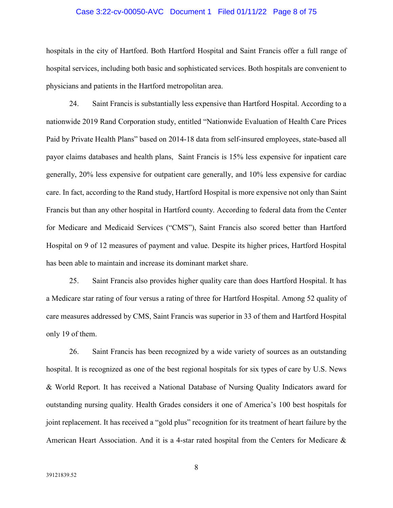#### Case 3:22-cv-00050-AVC Document 1 Filed 01/11/22 Page 8 of 75

hospitals in the city of Hartford. Both Hartford Hospital and Saint Francis offer a full range of hospital services, including both basic and sophisticated services. Both hospitals are convenient to physicians and patients in the Hartford metropolitan area.

24. Saint Francis is substantially less expensive than Hartford Hospital. According to a nationwide 2019 Rand Corporation study, entitled "Nationwide Evaluation of Health Care Prices Paid by Private Health Plans" based on 2014-18 data from self-insured employees, state-based all payor claims databases and health plans, Saint Francis is 15% less expensive for inpatient care generally, 20% less expensive for outpatient care generally, and 10% less expensive for cardiac care. In fact, according to the Rand study, Hartford Hospital is more expensive not only than Saint Francis but than any other hospital in Hartford county. According to federal data from the Center for Medicare and Medicaid Services ("CMS"), Saint Francis also scored better than Hartford Hospital on 9 of 12 measures of payment and value. Despite its higher prices, Hartford Hospital has been able to maintain and increase its dominant market share.

25. Saint Francis also provides higher quality care than does Hartford Hospital. It has a Medicare star rating of four versus a rating of three for Hartford Hospital. Among 52 quality of care measures addressed by CMS, Saint Francis was superior in 33 of them and Hartford Hospital only 19 of them.

26. Saint Francis has been recognized by a wide variety of sources as an outstanding hospital. It is recognized as one of the best regional hospitals for six types of care by U.S. News & World Report. It has received a National Database of Nursing Quality Indicators award for outstanding nursing quality. Health Grades considers it one of America's 100 best hospitals for joint replacement. It has received a "gold plus" recognition for its treatment of heart failure by the American Heart Association. And it is a 4-star rated hospital from the Centers for Medicare &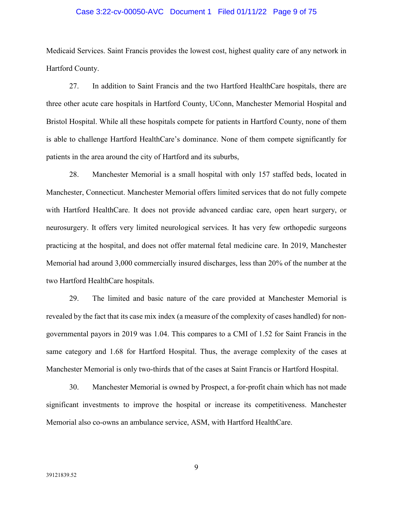### Case 3:22-cv-00050-AVC Document 1 Filed 01/11/22 Page 9 of 75

Medicaid Services. Saint Francis provides the lowest cost, highest quality care of any network in Hartford County.

27. In addition to Saint Francis and the two Hartford HealthCare hospitals, there are three other acute care hospitals in Hartford County, UConn, Manchester Memorial Hospital and Bristol Hospital. While all these hospitals compete for patients in Hartford County, none of them is able to challenge Hartford HealthCare's dominance. None of them compete significantly for patients in the area around the city of Hartford and its suburbs,

28. Manchester Memorial is a small hospital with only 157 staffed beds, located in Manchester, Connecticut. Manchester Memorial offers limited services that do not fully compete with Hartford HealthCare. It does not provide advanced cardiac care, open heart surgery, or neurosurgery. It offers very limited neurological services. It has very few orthopedic surgeons practicing at the hospital, and does not offer maternal fetal medicine care. In 2019, Manchester Memorial had around 3,000 commercially insured discharges, less than 20% of the number at the two Hartford HealthCare hospitals.

29. The limited and basic nature of the care provided at Manchester Memorial is revealed by the fact that its case mix index (a measure of the complexity of cases handled) for nongovernmental payors in 2019 was 1.04. This compares to a CMI of 1.52 for Saint Francis in the same category and 1.68 for Hartford Hospital. Thus, the average complexity of the cases at Manchester Memorial is only two-thirds that of the cases at Saint Francis or Hartford Hospital.

30. Manchester Memorial is owned by Prospect, a for-profit chain which has not made significant investments to improve the hospital or increase its competitiveness. Manchester Memorial also co-owns an ambulance service, ASM, with Hartford HealthCare.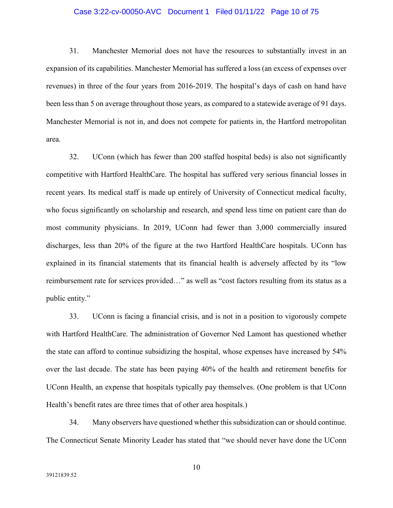## Case 3:22-cv-00050-AVC Document 1 Filed 01/11/22 Page 10 of 75

31. Manchester Memorial does not have the resources to substantially invest in an expansion of its capabilities. Manchester Memorial has suffered a loss (an excess of expenses over revenues) in three of the four years from 2016-2019. The hospital's days of cash on hand have been less than 5 on average throughout those years, as compared to a statewide average of 91 days. Manchester Memorial is not in, and does not compete for patients in, the Hartford metropolitan area.

32. UConn (which has fewer than 200 staffed hospital beds) is also not significantly competitive with Hartford HealthCare. The hospital has suffered very serious financial losses in recent years. Its medical staff is made up entirely of University of Connecticut medical faculty, who focus significantly on scholarship and research, and spend less time on patient care than do most community physicians. In 2019, UConn had fewer than 3,000 commercially insured discharges, less than 20% of the figure at the two Hartford HealthCare hospitals. UConn has explained in its financial statements that its financial health is adversely affected by its "low reimbursement rate for services provided…" as well as "cost factors resulting from its status as a public entity."

33. UConn is facing a financial crisis, and is not in a position to vigorously compete with Hartford HealthCare. The administration of Governor Ned Lamont has questioned whether the state can afford to continue subsidizing the hospital, whose expenses have increased by 54% over the last decade. The state has been paying 40% of the health and retirement benefits for UConn Health, an expense that hospitals typically pay themselves. (One problem is that UConn Health's benefit rates are three times that of other area hospitals.)

34. Many observers have questioned whether this subsidization can or should continue. The Connecticut Senate Minority Leader has stated that "we should never have done the UConn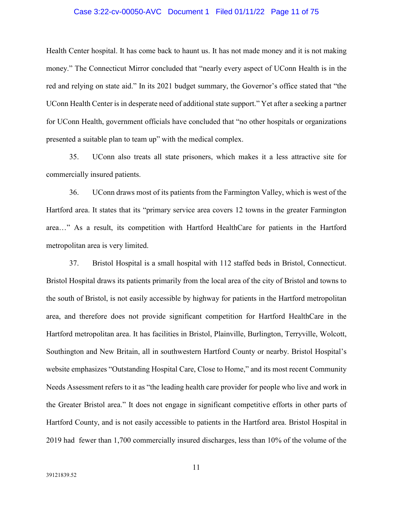### Case 3:22-cv-00050-AVC Document 1 Filed 01/11/22 Page 11 of 75

Health Center hospital. It has come back to haunt us. It has not made money and it is not making money." The Connecticut Mirror concluded that "nearly every aspect of UConn Health is in the red and relying on state aid." In its 2021 budget summary, the Governor's office stated that "the UConn Health Center is in desperate need of additional state support." Yet after a seeking a partner for UConn Health, government officials have concluded that "no other hospitals or organizations presented a suitable plan to team up" with the medical complex.

35. UConn also treats all state prisoners, which makes it a less attractive site for commercially insured patients.

36. UConn draws most of its patients from the Farmington Valley, which is west of the Hartford area. It states that its "primary service area covers 12 towns in the greater Farmington area…" As a result, its competition with Hartford HealthCare for patients in the Hartford metropolitan area is very limited.

37. Bristol Hospital is a small hospital with 112 staffed beds in Bristol, Connecticut. Bristol Hospital draws its patients primarily from the local area of the city of Bristol and towns to the south of Bristol, is not easily accessible by highway for patients in the Hartford metropolitan area, and therefore does not provide significant competition for Hartford HealthCare in the Hartford metropolitan area. It has facilities in Bristol, Plainville, Burlington, Terryville, Wolcott, Southington and New Britain, all in southwestern Hartford County or nearby. Bristol Hospital's website emphasizes "Outstanding Hospital Care, Close to Home," and its most recent Community Needs Assessment refers to it as "the leading health care provider for people who live and work in the Greater Bristol area." It does not engage in significant competitive efforts in other parts of Hartford County, and is not easily accessible to patients in the Hartford area. Bristol Hospital in 2019 had fewer than 1,700 commercially insured discharges, less than 10% of the volume of the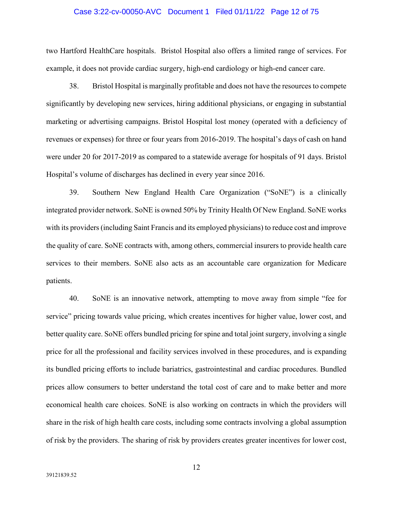#### Case 3:22-cv-00050-AVC Document 1 Filed 01/11/22 Page 12 of 75

two Hartford HealthCare hospitals. Bristol Hospital also offers a limited range of services. For example, it does not provide cardiac surgery, high-end cardiology or high-end cancer care.

38. Bristol Hospital is marginally profitable and does not have the resources to compete significantly by developing new services, hiring additional physicians, or engaging in substantial marketing or advertising campaigns. Bristol Hospital lost money (operated with a deficiency of revenues or expenses) for three or four years from 2016-2019. The hospital's days of cash on hand were under 20 for 2017-2019 as compared to a statewide average for hospitals of 91 days. Bristol Hospital's volume of discharges has declined in every year since 2016.

39. Southern New England Health Care Organization ("SoNE") is a clinically integrated provider network. SoNE is owned 50% by Trinity Health Of New England. SoNE works with its providers (including Saint Francis and its employed physicians) to reduce cost and improve the quality of care. SoNE contracts with, among others, commercial insurers to provide health care services to their members. SoNE also acts as an accountable care organization for Medicare patients.

40. SoNE is an innovative network, attempting to move away from simple "fee for service" pricing towards value pricing, which creates incentives for higher value, lower cost, and better quality care. SoNE offers bundled pricing for spine and total joint surgery, involving a single price for all the professional and facility services involved in these procedures, and is expanding its bundled pricing efforts to include bariatrics, gastrointestinal and cardiac procedures. Bundled prices allow consumers to better understand the total cost of care and to make better and more economical health care choices. SoNE is also working on contracts in which the providers will share in the risk of high health care costs, including some contracts involving a global assumption of risk by the providers. The sharing of risk by providers creates greater incentives for lower cost,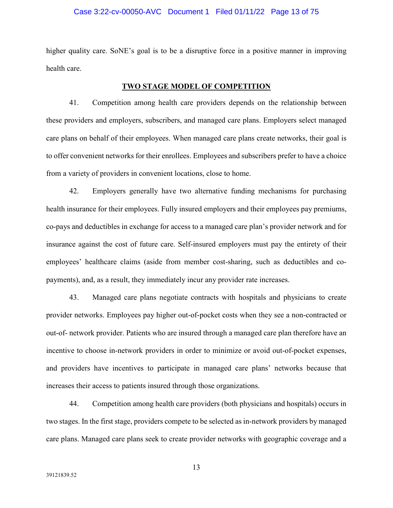#### Case 3:22-cv-00050-AVC Document 1 Filed 01/11/22 Page 13 of 75

higher quality care. SoNE's goal is to be a disruptive force in a positive manner in improving health care.

## **TWO STAGE MODEL OF COMPETITION**

41. Competition among health care providers depends on the relationship between these providers and employers, subscribers, and managed care plans. Employers select managed care plans on behalf of their employees. When managed care plans create networks, their goal is to offer convenient networks for their enrollees. Employees and subscribers prefer to have a choice from a variety of providers in convenient locations, close to home.

42. Employers generally have two alternative funding mechanisms for purchasing health insurance for their employees. Fully insured employers and their employees pay premiums, co-pays and deductibles in exchange for access to a managed care plan's provider network and for insurance against the cost of future care. Self-insured employers must pay the entirety of their employees' healthcare claims (aside from member cost-sharing, such as deductibles and copayments), and, as a result, they immediately incur any provider rate increases.

43. Managed care plans negotiate contracts with hospitals and physicians to create provider networks. Employees pay higher out-of-pocket costs when they see a non-contracted or out-of- network provider. Patients who are insured through a managed care plan therefore have an incentive to choose in-network providers in order to minimize or avoid out-of-pocket expenses, and providers have incentives to participate in managed care plans' networks because that increases their access to patients insured through those organizations.

44. Competition among health care providers (both physicians and hospitals) occurs in two stages. In the first stage, providers compete to be selected as in-network providers by managed care plans. Managed care plans seek to create provider networks with geographic coverage and a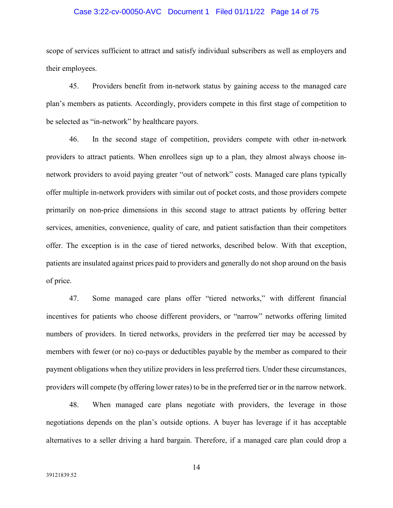## Case 3:22-cv-00050-AVC Document 1 Filed 01/11/22 Page 14 of 75

scope of services sufficient to attract and satisfy individual subscribers as well as employers and their employees.

45. Providers benefit from in-network status by gaining access to the managed care plan's members as patients. Accordingly, providers compete in this first stage of competition to be selected as "in-network" by healthcare payors.

46. In the second stage of competition, providers compete with other in-network providers to attract patients. When enrollees sign up to a plan, they almost always choose innetwork providers to avoid paying greater "out of network" costs. Managed care plans typically offer multiple in-network providers with similar out of pocket costs, and those providers compete primarily on non-price dimensions in this second stage to attract patients by offering better services, amenities, convenience, quality of care, and patient satisfaction than their competitors offer. The exception is in the case of tiered networks, described below. With that exception, patients are insulated against prices paid to providers and generally do not shop around on the basis of price.

47. Some managed care plans offer "tiered networks," with different financial incentives for patients who choose different providers, or "narrow" networks offering limited numbers of providers. In tiered networks, providers in the preferred tier may be accessed by members with fewer (or no) co-pays or deductibles payable by the member as compared to their payment obligations when they utilize providers in less preferred tiers. Under these circumstances, providers will compete (by offering lower rates) to be in the preferred tier or in the narrow network.

48. When managed care plans negotiate with providers, the leverage in those negotiations depends on the plan's outside options. A buyer has leverage if it has acceptable alternatives to a seller driving a hard bargain. Therefore, if a managed care plan could drop a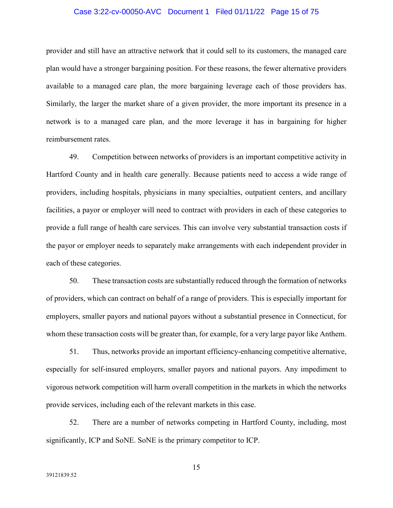### Case 3:22-cv-00050-AVC Document 1 Filed 01/11/22 Page 15 of 75

provider and still have an attractive network that it could sell to its customers, the managed care plan would have a stronger bargaining position. For these reasons, the fewer alternative providers available to a managed care plan, the more bargaining leverage each of those providers has. Similarly, the larger the market share of a given provider, the more important its presence in a network is to a managed care plan, and the more leverage it has in bargaining for higher reimbursement rates.

49. Competition between networks of providers is an important competitive activity in Hartford County and in health care generally. Because patients need to access a wide range of providers, including hospitals, physicians in many specialties, outpatient centers, and ancillary facilities, a payor or employer will need to contract with providers in each of these categories to provide a full range of health care services. This can involve very substantial transaction costs if the payor or employer needs to separately make arrangements with each independent provider in each of these categories.

50. These transaction costs are substantially reduced through the formation of networks of providers, which can contract on behalf of a range of providers. This is especially important for employers, smaller payors and national payors without a substantial presence in Connecticut, for whom these transaction costs will be greater than, for example, for a very large payor like Anthem.

51. Thus, networks provide an important efficiency-enhancing competitive alternative, especially for self-insured employers, smaller payors and national payors. Any impediment to vigorous network competition will harm overall competition in the markets in which the networks provide services, including each of the relevant markets in this case.

52. There are a number of networks competing in Hartford County, including, most significantly, ICP and SoNE. SoNE is the primary competitor to ICP.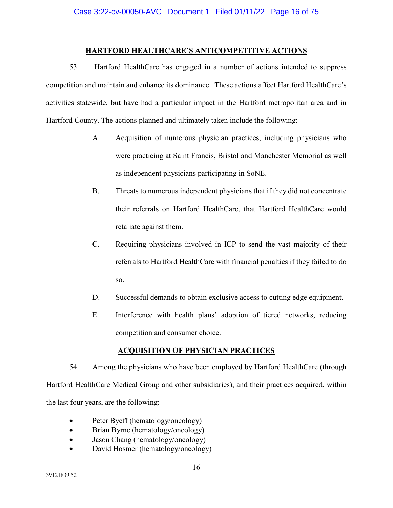# **HARTFORD HEALTHCARE'S ANTICOMPETITIVE ACTIONS**

53. Hartford HealthCare has engaged in a number of actions intended to suppress competition and maintain and enhance its dominance. These actions affect Hartford HealthCare's activities statewide, but have had a particular impact in the Hartford metropolitan area and in Hartford County. The actions planned and ultimately taken include the following:

- A. Acquisition of numerous physician practices, including physicians who were practicing at Saint Francis, Bristol and Manchester Memorial as well as independent physicians participating in SoNE.
- B. Threats to numerous independent physicians that if they did not concentrate their referrals on Hartford HealthCare, that Hartford HealthCare would retaliate against them.
- C. Requiring physicians involved in ICP to send the vast majority of their referrals to Hartford HealthCare with financial penalties if they failed to do so.
- D. Successful demands to obtain exclusive access to cutting edge equipment.
- E. Interference with health plans' adoption of tiered networks, reducing competition and consumer choice.

# **ACQUISITION OF PHYSICIAN PRACTICES**

54. Among the physicians who have been employed by Hartford HealthCare (through Hartford HealthCare Medical Group and other subsidiaries), and their practices acquired, within the last four years, are the following:

- Peter Byeff (hematology/oncology)
- Brian Byrne (hematology/oncology)
- Jason Chang (hematology/oncology)
- David Hosmer (hematology/oncology)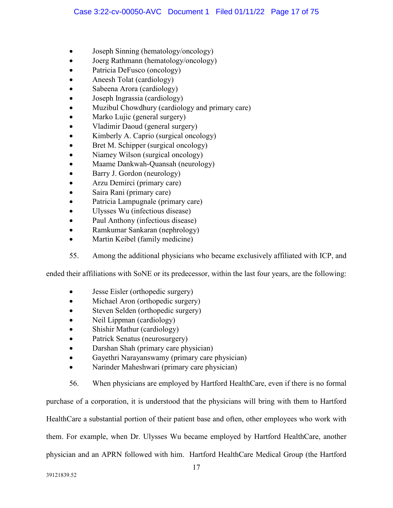- Joseph Sinning (hematology/oncology)
- Joerg Rathmann (hematology/oncology)
- Patricia DeFusco (oncology)
- Aneesh Tolat (cardiology)
- Sabeena Arora (cardiology)
- Joseph Ingrassia (cardiology)
- Muzibul Chowdhury (cardiology and primary care)
- Marko Lujic (general surgery)
- Vladimir Daoud (general surgery)
- Kimberly A. Caprio (surgical oncology)
- Bret M. Schipper (surgical oncology)
- Niamey Wilson (surgical oncology)
- Maame Dankwah-Quansah (neurology)
- Barry J. Gordon (neurology)
- Arzu Demirci (primary care)
- Saira Rani (primary care)
- Patricia Lampugnale (primary care)
- Ulysses Wu (infectious disease)
- Paul Anthony (infectious disease)
- Ramkumar Sankaran (nephrology)
- Martin Keibel (family medicine)
- 55. Among the additional physicians who became exclusively affiliated with ICP, and

ended their affiliations with SoNE or its predecessor, within the last four years, are the following:

- Jesse Eisler (orthopedic surgery)
- Michael Aron (orthopedic surgery)
- Steven Selden (orthopedic surgery)
- Neil Lippman (cardiology)
- Shishir Mathur (cardiology)
- Patrick Senatus (neurosurgery)
- Darshan Shah (primary care physician)
- Gayethri Narayanswamy (primary care physician)
- Narinder Maheshwari (primary care physician)

56. When physicians are employed by Hartford HealthCare, even if there is no formal purchase of a corporation, it is understood that the physicians will bring with them to Hartford HealthCare a substantial portion of their patient base and often, other employees who work with them. For example, when Dr. Ulysses Wu became employed by Hartford HealthCare, another physician and an APRN followed with him. Hartford HealthCare Medical Group (the Hartford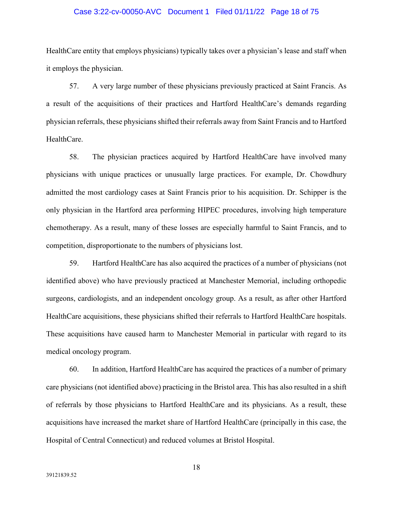## Case 3:22-cv-00050-AVC Document 1 Filed 01/11/22 Page 18 of 75

HealthCare entity that employs physicians) typically takes over a physician's lease and staff when it employs the physician.

57. A very large number of these physicians previously practiced at Saint Francis. As a result of the acquisitions of their practices and Hartford HealthCare's demands regarding physician referrals, these physicians shifted their referrals away from Saint Francis and to Hartford HealthCare.

58. The physician practices acquired by Hartford HealthCare have involved many physicians with unique practices or unusually large practices. For example, Dr. Chowdhury admitted the most cardiology cases at Saint Francis prior to his acquisition. Dr. Schipper is the only physician in the Hartford area performing HIPEC procedures, involving high temperature chemotherapy. As a result, many of these losses are especially harmful to Saint Francis, and to competition, disproportionate to the numbers of physicians lost.

59. Hartford HealthCare has also acquired the practices of a number of physicians (not identified above) who have previously practiced at Manchester Memorial, including orthopedic surgeons, cardiologists, and an independent oncology group. As a result, as after other Hartford HealthCare acquisitions, these physicians shifted their referrals to Hartford HealthCare hospitals. These acquisitions have caused harm to Manchester Memorial in particular with regard to its medical oncology program.

60. In addition, Hartford HealthCare has acquired the practices of a number of primary care physicians (not identified above) practicing in the Bristol area. This has also resulted in a shift of referrals by those physicians to Hartford HealthCare and its physicians. As a result, these acquisitions have increased the market share of Hartford HealthCare (principally in this case, the Hospital of Central Connecticut) and reduced volumes at Bristol Hospital.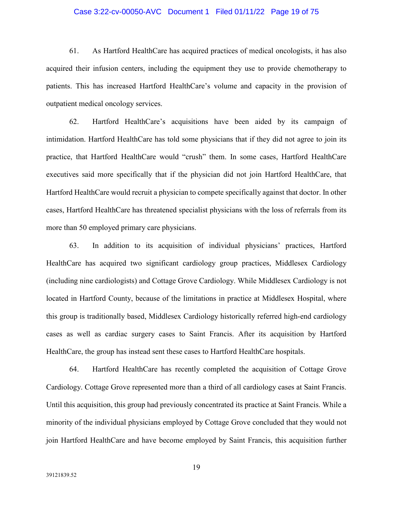## Case 3:22-cv-00050-AVC Document 1 Filed 01/11/22 Page 19 of 75

61. As Hartford HealthCare has acquired practices of medical oncologists, it has also acquired their infusion centers, including the equipment they use to provide chemotherapy to patients. This has increased Hartford HealthCare's volume and capacity in the provision of outpatient medical oncology services.

62. Hartford HealthCare's acquisitions have been aided by its campaign of intimidation. Hartford HealthCare has told some physicians that if they did not agree to join its practice, that Hartford HealthCare would "crush" them. In some cases, Hartford HealthCare executives said more specifically that if the physician did not join Hartford HealthCare, that Hartford HealthCare would recruit a physician to compete specifically against that doctor. In other cases, Hartford HealthCare has threatened specialist physicians with the loss of referrals from its more than 50 employed primary care physicians.

63. In addition to its acquisition of individual physicians' practices, Hartford HealthCare has acquired two significant cardiology group practices, Middlesex Cardiology (including nine cardiologists) and Cottage Grove Cardiology. While Middlesex Cardiology is not located in Hartford County, because of the limitations in practice at Middlesex Hospital, where this group is traditionally based, Middlesex Cardiology historically referred high-end cardiology cases as well as cardiac surgery cases to Saint Francis. After its acquisition by Hartford HealthCare, the group has instead sent these cases to Hartford HealthCare hospitals.

64. Hartford HealthCare has recently completed the acquisition of Cottage Grove Cardiology. Cottage Grove represented more than a third of all cardiology cases at Saint Francis. Until this acquisition, this group had previously concentrated its practice at Saint Francis. While a minority of the individual physicians employed by Cottage Grove concluded that they would not join Hartford HealthCare and have become employed by Saint Francis, this acquisition further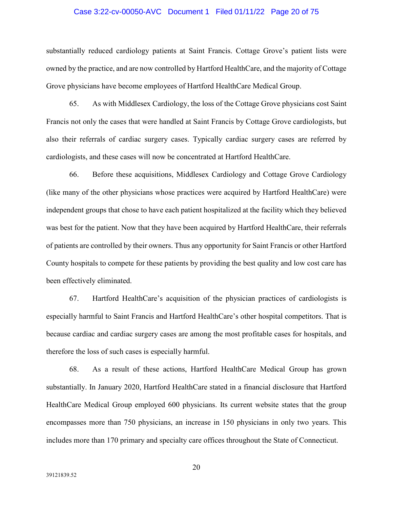#### Case 3:22-cv-00050-AVC Document 1 Filed 01/11/22 Page 20 of 75

substantially reduced cardiology patients at Saint Francis. Cottage Grove's patient lists were owned by the practice, and are now controlled by Hartford HealthCare, and the majority of Cottage Grove physicians have become employees of Hartford HealthCare Medical Group.

65. As with Middlesex Cardiology, the loss of the Cottage Grove physicians cost Saint Francis not only the cases that were handled at Saint Francis by Cottage Grove cardiologists, but also their referrals of cardiac surgery cases. Typically cardiac surgery cases are referred by cardiologists, and these cases will now be concentrated at Hartford HealthCare.

66. Before these acquisitions, Middlesex Cardiology and Cottage Grove Cardiology (like many of the other physicians whose practices were acquired by Hartford HealthCare) were independent groups that chose to have each patient hospitalized at the facility which they believed was best for the patient. Now that they have been acquired by Hartford HealthCare, their referrals of patients are controlled by their owners. Thus any opportunity for Saint Francis or other Hartford County hospitals to compete for these patients by providing the best quality and low cost care has been effectively eliminated.

67. Hartford HealthCare's acquisition of the physician practices of cardiologists is especially harmful to Saint Francis and Hartford HealthCare's other hospital competitors. That is because cardiac and cardiac surgery cases are among the most profitable cases for hospitals, and therefore the loss of such cases is especially harmful.

68. As a result of these actions, Hartford HealthCare Medical Group has grown substantially. In January 2020, Hartford HealthCare stated in a financial disclosure that Hartford HealthCare Medical Group employed 600 physicians. Its current website states that the group encompasses more than 750 physicians, an increase in 150 physicians in only two years. This includes more than 170 primary and specialty care offices throughout the State of Connecticut.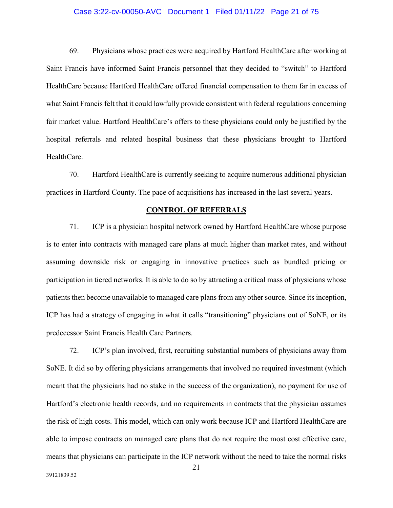## Case 3:22-cv-00050-AVC Document 1 Filed 01/11/22 Page 21 of 75

69. Physicians whose practices were acquired by Hartford HealthCare after working at Saint Francis have informed Saint Francis personnel that they decided to "switch" to Hartford HealthCare because Hartford HealthCare offered financial compensation to them far in excess of what Saint Francis felt that it could lawfully provide consistent with federal regulations concerning fair market value. Hartford HealthCare's offers to these physicians could only be justified by the hospital referrals and related hospital business that these physicians brought to Hartford HealthCare.

70. Hartford HealthCare is currently seeking to acquire numerous additional physician practices in Hartford County. The pace of acquisitions has increased in the last several years.

#### **CONTROL OF REFERRALS**

71. ICP is a physician hospital network owned by Hartford HealthCare whose purpose is to enter into contracts with managed care plans at much higher than market rates, and without assuming downside risk or engaging in innovative practices such as bundled pricing or participation in tiered networks. It is able to do so by attracting a critical mass of physicians whose patients then become unavailable to managed care plans from any other source. Since its inception, ICP has had a strategy of engaging in what it calls "transitioning" physicians out of SoNE, or its predecessor Saint Francis Health Care Partners.

72. ICP's plan involved, first, recruiting substantial numbers of physicians away from SoNE. It did so by offering physicians arrangements that involved no required investment (which meant that the physicians had no stake in the success of the organization), no payment for use of Hartford's electronic health records, and no requirements in contracts that the physician assumes the risk of high costs. This model, which can only work because ICP and Hartford HealthCare are able to impose contracts on managed care plans that do not require the most cost effective care, means that physicians can participate in the ICP network without the need to take the normal risks

39121839.52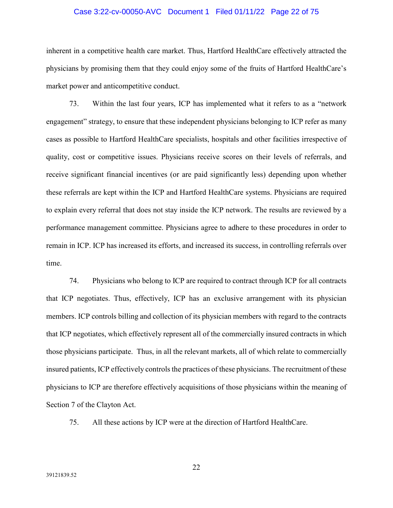## Case 3:22-cv-00050-AVC Document 1 Filed 01/11/22 Page 22 of 75

inherent in a competitive health care market. Thus, Hartford HealthCare effectively attracted the physicians by promising them that they could enjoy some of the fruits of Hartford HealthCare's market power and anticompetitive conduct.

73. Within the last four years, ICP has implemented what it refers to as a "network engagement" strategy, to ensure that these independent physicians belonging to ICP refer as many cases as possible to Hartford HealthCare specialists, hospitals and other facilities irrespective of quality, cost or competitive issues. Physicians receive scores on their levels of referrals, and receive significant financial incentives (or are paid significantly less) depending upon whether these referrals are kept within the ICP and Hartford HealthCare systems. Physicians are required to explain every referral that does not stay inside the ICP network. The results are reviewed by a performance management committee. Physicians agree to adhere to these procedures in order to remain in ICP. ICP has increased its efforts, and increased its success, in controlling referrals over time.

74. Physicians who belong to ICP are required to contract through ICP for all contracts that ICP negotiates. Thus, effectively, ICP has an exclusive arrangement with its physician members. ICP controls billing and collection of its physician members with regard to the contracts that ICP negotiates, which effectively represent all of the commercially insured contracts in which those physicians participate. Thus, in all the relevant markets, all of which relate to commercially insured patients, ICP effectively controls the practices of these physicians. The recruitment of these physicians to ICP are therefore effectively acquisitions of those physicians within the meaning of Section 7 of the Clayton Act.

75. All these actions by ICP were at the direction of Hartford HealthCare.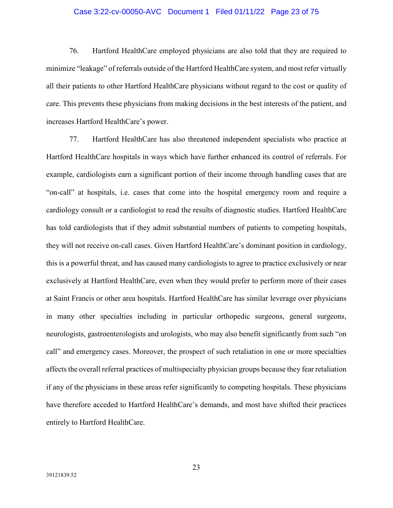## Case 3:22-cv-00050-AVC Document 1 Filed 01/11/22 Page 23 of 75

76. Hartford HealthCare employed physicians are also told that they are required to minimize "leakage" of referrals outside of the Hartford HealthCare system, and most refer virtually all their patients to other Hartford HealthCare physicians without regard to the cost or quality of care. This prevents these physicians from making decisions in the best interests of the patient, and increases Hartford HealthCare's power.

77. Hartford HealthCare has also threatened independent specialists who practice at Hartford HealthCare hospitals in ways which have further enhanced its control of referrals. For example, cardiologists earn a significant portion of their income through handling cases that are "on-call" at hospitals, i.e. cases that come into the hospital emergency room and require a cardiology consult or a cardiologist to read the results of diagnostic studies. Hartford HealthCare has told cardiologists that if they admit substantial numbers of patients to competing hospitals, they will not receive on-call cases. Given Hartford HealthCare's dominant position in cardiology, this is a powerful threat, and has caused many cardiologists to agree to practice exclusively or near exclusively at Hartford HealthCare, even when they would prefer to perform more of their cases at Saint Francis or other area hospitals. Hartford HealthCare has similar leverage over physicians in many other specialties including in particular orthopedic surgeons, general surgeons, neurologists, gastroenterologists and urologists, who may also benefit significantly from such "on call" and emergency cases. Moreover, the prospect of such retaliation in one or more specialties affects the overall referral practices of multispecialty physician groups because they fear retaliation if any of the physicians in these areas refer significantly to competing hospitals. These physicians have therefore acceded to Hartford HealthCare's demands, and most have shifted their practices entirely to Hartford HealthCare.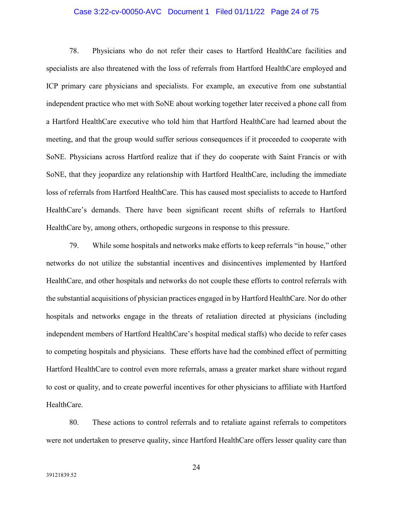## Case 3:22-cv-00050-AVC Document 1 Filed 01/11/22 Page 24 of 75

78. Physicians who do not refer their cases to Hartford HealthCare facilities and specialists are also threatened with the loss of referrals from Hartford HealthCare employed and ICP primary care physicians and specialists. For example, an executive from one substantial independent practice who met with SoNE about working together later received a phone call from a Hartford HealthCare executive who told him that Hartford HealthCare had learned about the meeting, and that the group would suffer serious consequences if it proceeded to cooperate with SoNE. Physicians across Hartford realize that if they do cooperate with Saint Francis or with SoNE, that they jeopardize any relationship with Hartford HealthCare, including the immediate loss of referrals from Hartford HealthCare. This has caused most specialists to accede to Hartford HealthCare's demands. There have been significant recent shifts of referrals to Hartford HealthCare by, among others, orthopedic surgeons in response to this pressure.

79. While some hospitals and networks make efforts to keep referrals "in house," other networks do not utilize the substantial incentives and disincentives implemented by Hartford HealthCare, and other hospitals and networks do not couple these efforts to control referrals with the substantial acquisitions of physician practices engaged in by Hartford HealthCare. Nor do other hospitals and networks engage in the threats of retaliation directed at physicians (including independent members of Hartford HealthCare's hospital medical staffs) who decide to refer cases to competing hospitals and physicians. These efforts have had the combined effect of permitting Hartford HealthCare to control even more referrals, amass a greater market share without regard to cost or quality, and to create powerful incentives for other physicians to affiliate with Hartford HealthCare.

80. These actions to control referrals and to retaliate against referrals to competitors were not undertaken to preserve quality, since Hartford HealthCare offers lesser quality care than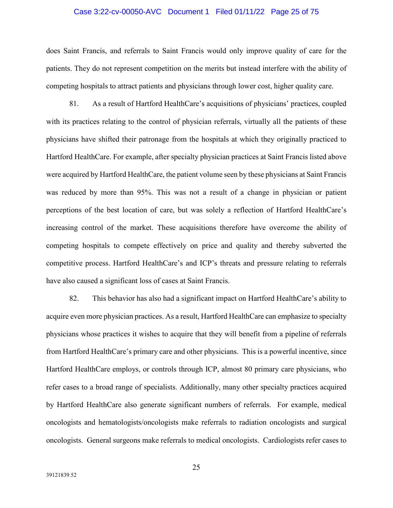### Case 3:22-cv-00050-AVC Document 1 Filed 01/11/22 Page 25 of 75

does Saint Francis, and referrals to Saint Francis would only improve quality of care for the patients. They do not represent competition on the merits but instead interfere with the ability of competing hospitals to attract patients and physicians through lower cost, higher quality care.

81. As a result of Hartford HealthCare's acquisitions of physicians' practices, coupled with its practices relating to the control of physician referrals, virtually all the patients of these physicians have shifted their patronage from the hospitals at which they originally practiced to Hartford HealthCare. For example, after specialty physician practices at Saint Francis listed above were acquired by Hartford HealthCare, the patient volume seen by these physicians at Saint Francis was reduced by more than 95%. This was not a result of a change in physician or patient perceptions of the best location of care, but was solely a reflection of Hartford HealthCare's increasing control of the market. These acquisitions therefore have overcome the ability of competing hospitals to compete effectively on price and quality and thereby subverted the competitive process. Hartford HealthCare's and ICP's threats and pressure relating to referrals have also caused a significant loss of cases at Saint Francis.

82. This behavior has also had a significant impact on Hartford HealthCare's ability to acquire even more physician practices. As a result, Hartford HealthCare can emphasize to specialty physicians whose practices it wishes to acquire that they will benefit from a pipeline of referrals from Hartford HealthCare's primary care and other physicians. This is a powerful incentive, since Hartford HealthCare employs, or controls through ICP, almost 80 primary care physicians, who refer cases to a broad range of specialists. Additionally, many other specialty practices acquired by Hartford HealthCare also generate significant numbers of referrals. For example, medical oncologists and hematologists/oncologists make referrals to radiation oncologists and surgical oncologists. General surgeons make referrals to medical oncologists. Cardiologists refer cases to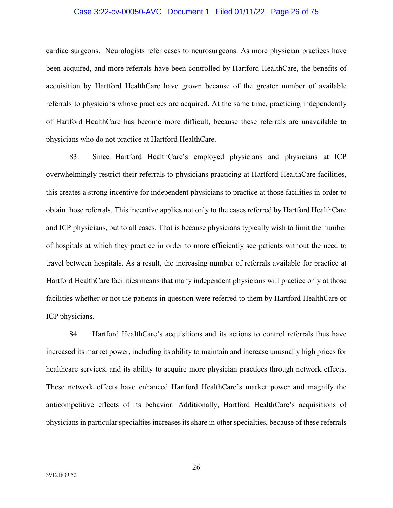### Case 3:22-cv-00050-AVC Document 1 Filed 01/11/22 Page 26 of 75

cardiac surgeons. Neurologists refer cases to neurosurgeons. As more physician practices have been acquired, and more referrals have been controlled by Hartford HealthCare, the benefits of acquisition by Hartford HealthCare have grown because of the greater number of available referrals to physicians whose practices are acquired. At the same time, practicing independently of Hartford HealthCare has become more difficult, because these referrals are unavailable to physicians who do not practice at Hartford HealthCare.

83. Since Hartford HealthCare's employed physicians and physicians at ICP overwhelmingly restrict their referrals to physicians practicing at Hartford HealthCare facilities, this creates a strong incentive for independent physicians to practice at those facilities in order to obtain those referrals. This incentive applies not only to the cases referred by Hartford HealthCare and ICP physicians, but to all cases. That is because physicians typically wish to limit the number of hospitals at which they practice in order to more efficiently see patients without the need to travel between hospitals. As a result, the increasing number of referrals available for practice at Hartford HealthCare facilities means that many independent physicians will practice only at those facilities whether or not the patients in question were referred to them by Hartford HealthCare or ICP physicians.

84. Hartford HealthCare's acquisitions and its actions to control referrals thus have increased its market power, including its ability to maintain and increase unusually high prices for healthcare services, and its ability to acquire more physician practices through network effects. These network effects have enhanced Hartford HealthCare's market power and magnify the anticompetitive effects of its behavior. Additionally, Hartford HealthCare's acquisitions of physicians in particular specialties increases its share in other specialties, because of these referrals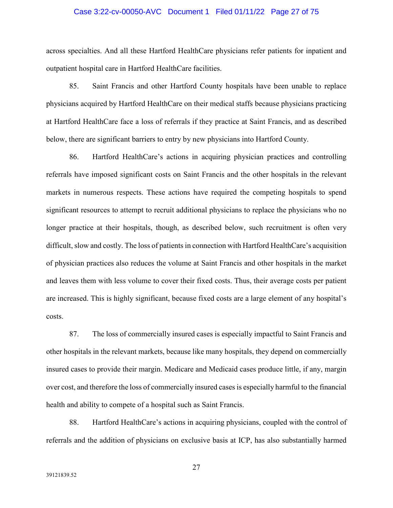### Case 3:22-cv-00050-AVC Document 1 Filed 01/11/22 Page 27 of 75

across specialties. And all these Hartford HealthCare physicians refer patients for inpatient and outpatient hospital care in Hartford HealthCare facilities.

85. Saint Francis and other Hartford County hospitals have been unable to replace physicians acquired by Hartford HealthCare on their medical staffs because physicians practicing at Hartford HealthCare face a loss of referrals if they practice at Saint Francis, and as described below, there are significant barriers to entry by new physicians into Hartford County.

86. Hartford HealthCare's actions in acquiring physician practices and controlling referrals have imposed significant costs on Saint Francis and the other hospitals in the relevant markets in numerous respects. These actions have required the competing hospitals to spend significant resources to attempt to recruit additional physicians to replace the physicians who no longer practice at their hospitals, though, as described below, such recruitment is often very difficult, slow and costly. The loss of patients in connection with Hartford HealthCare's acquisition of physician practices also reduces the volume at Saint Francis and other hospitals in the market and leaves them with less volume to cover their fixed costs. Thus, their average costs per patient are increased. This is highly significant, because fixed costs are a large element of any hospital's costs.

87. The loss of commercially insured cases is especially impactful to Saint Francis and other hospitals in the relevant markets, because like many hospitals, they depend on commercially insured cases to provide their margin. Medicare and Medicaid cases produce little, if any, margin over cost, and therefore the loss of commercially insured cases is especially harmful to the financial health and ability to compete of a hospital such as Saint Francis.

88. Hartford HealthCare's actions in acquiring physicians, coupled with the control of referrals and the addition of physicians on exclusive basis at ICP, has also substantially harmed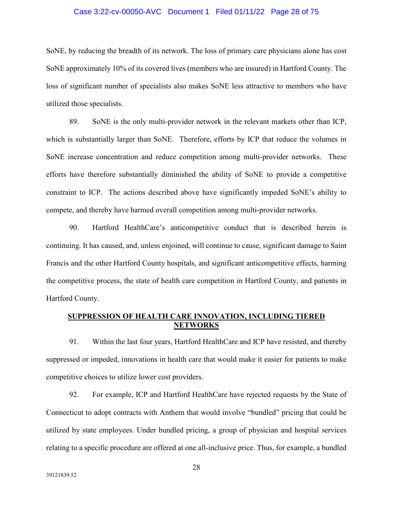### Case 3:22-cv-00050-AVC Document 1 Filed 01/11/22 Page 28 of 75

SoNE, by reducing the breadth of its network. The loss of primary care physicians alone has cost SoNE approximately 10% of its covered lives (members who are insured) in Hartford County. The loss of significant number of specialists also makes SoNE less attractive to members who have utilized those specialists.

89. SoNE is the only multi-provider network in the relevant markets other than ICP, which is substantially larger than SoNE. Therefore, efforts by ICP that reduce the volumes in SoNE increase concentration and reduce competition among multi-provider networks. These efforts have therefore substantially diminished the ability of SoNE to provide a competitive constraint to ICP. The actions described above have significantly impeded SoNE's ability to compete, and thereby have harmed overall competition among multi-provider networks.

90. Hartford HealthCare's anticompetitive conduct that is described herein is continuing. It has caused, and, unless enjoined, will continue to cause, significant damage to Saint Francis and the other Hartford County hospitals, and significant anticompetitive effects, harming the competitive process, the state of health care competition in Hartford County, and patients in Hartford County.

# **SUPPRESSION OF HEALTH CARE INNOVATION, INCLUDING TIERED NETWORKS**

91. Within the last four years, Hartford HealthCare and ICP have resisted, and thereby suppressed or impeded, innovations in health care that would make it easier for patients to make competitive choices to utilize lower cost providers.

92. For example, ICP and Hartford HealthCare have rejected requests by the State of Connecticut to adopt contracts with Anthem that would involve "bundled" pricing that could be utilized by state employees. Under bundled pricing, a group of physician and hospital services relating to a specific procedure are offered at one all-inclusive price. Thus, for example, a bundled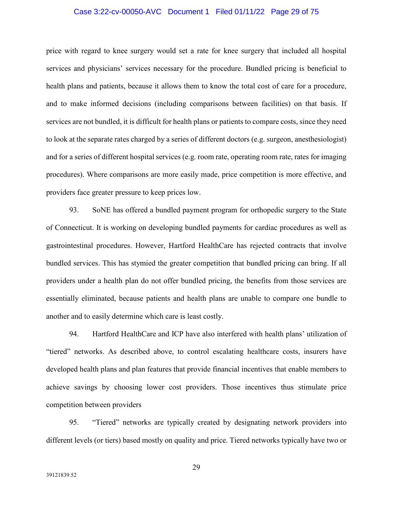## Case 3:22-cv-00050-AVC Document 1 Filed 01/11/22 Page 29 of 75

price with regard to knee surgery would set a rate for knee surgery that included all hospital services and physicians' services necessary for the procedure. Bundled pricing is beneficial to health plans and patients, because it allows them to know the total cost of care for a procedure, and to make informed decisions (including comparisons between facilities) on that basis. If services are not bundled, it is difficult for health plans or patients to compare costs, since they need to look at the separate rates charged by a series of different doctors (e.g. surgeon, anesthesiologist) and for a series of different hospital services (e.g. room rate, operating room rate, rates for imaging procedures). Where comparisons are more easily made, price competition is more effective, and providers face greater pressure to keep prices low.

93. SoNE has offered a bundled payment program for orthopedic surgery to the State of Connecticut. It is working on developing bundled payments for cardiac procedures as well as gastrointestinal procedures. However, Hartford HealthCare has rejected contracts that involve bundled services. This has stymied the greater competition that bundled pricing can bring. If all providers under a health plan do not offer bundled pricing, the benefits from those services are essentially eliminated, because patients and health plans are unable to compare one bundle to another and to easily determine which care is least costly.

94. Hartford HealthCare and ICP have also interfered with health plans' utilization of "tiered" networks. As described above, to control escalating healthcare costs, insurers have developed health plans and plan features that provide financial incentives that enable members to achieve savings by choosing lower cost providers. Those incentives thus stimulate price competition between providers

95. "Tiered" networks are typically created by designating network providers into different levels (or tiers) based mostly on quality and price. Tiered networks typically have two or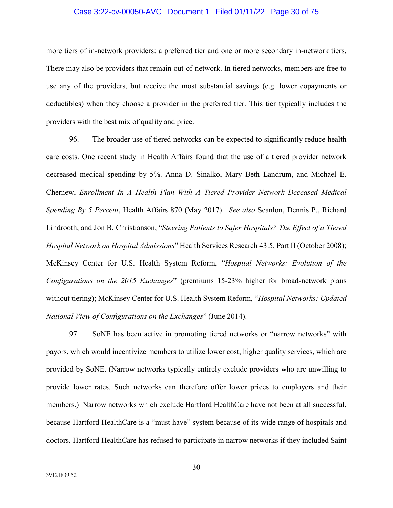### Case 3:22-cv-00050-AVC Document 1 Filed 01/11/22 Page 30 of 75

more tiers of in-network providers: a preferred tier and one or more secondary in-network tiers. There may also be providers that remain out-of-network. In tiered networks, members are free to use any of the providers, but receive the most substantial savings (e.g. lower copayments or deductibles) when they choose a provider in the preferred tier. This tier typically includes the providers with the best mix of quality and price.

96. The broader use of tiered networks can be expected to significantly reduce health care costs. One recent study in Health Affairs found that the use of a tiered provider network decreased medical spending by 5%. Anna D. Sinalko, Mary Beth Landrum, and Michael E. Chernew, *Enrollment In A Health Plan With A Tiered Provider Network Deceased Medical Spending By 5 Percent*, Health Affairs 870 (May 2017). *See also* Scanlon, Dennis P., Richard Lindrooth, and Jon B. Christianson, "*Steering Patients to Safer Hospitals? The Effect of a Tiered Hospital Network on Hospital Admissions*" Health Services Research 43:5, Part II (October 2008); McKinsey Center for U.S. Health System Reform, "*Hospital Networks: Evolution of the Configurations on the 2015 Exchanges*" (premiums 15-23% higher for broad-network plans without tiering); McKinsey Center for U.S. Health System Reform, "*Hospital Networks: Updated National View of Configurations on the Exchanges*" (June 2014).

97. SoNE has been active in promoting tiered networks or "narrow networks" with payors, which would incentivize members to utilize lower cost, higher quality services, which are provided by SoNE. (Narrow networks typically entirely exclude providers who are unwilling to provide lower rates. Such networks can therefore offer lower prices to employers and their members.) Narrow networks which exclude Hartford HealthCare have not been at all successful, because Hartford HealthCare is a "must have" system because of its wide range of hospitals and doctors. Hartford HealthCare has refused to participate in narrow networks if they included Saint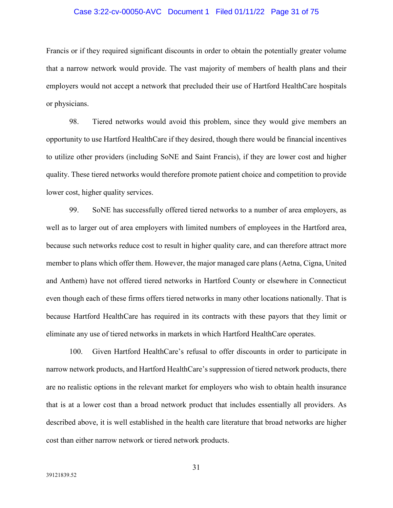### Case 3:22-cv-00050-AVC Document 1 Filed 01/11/22 Page 31 of 75

Francis or if they required significant discounts in order to obtain the potentially greater volume that a narrow network would provide. The vast majority of members of health plans and their employers would not accept a network that precluded their use of Hartford HealthCare hospitals or physicians.

98. Tiered networks would avoid this problem, since they would give members an opportunity to use Hartford HealthCare if they desired, though there would be financial incentives to utilize other providers (including SoNE and Saint Francis), if they are lower cost and higher quality. These tiered networks would therefore promote patient choice and competition to provide lower cost, higher quality services.

99. SoNE has successfully offered tiered networks to a number of area employers, as well as to larger out of area employers with limited numbers of employees in the Hartford area, because such networks reduce cost to result in higher quality care, and can therefore attract more member to plans which offer them. However, the major managed care plans (Aetna, Cigna, United and Anthem) have not offered tiered networks in Hartford County or elsewhere in Connecticut even though each of these firms offers tiered networks in many other locations nationally. That is because Hartford HealthCare has required in its contracts with these payors that they limit or eliminate any use of tiered networks in markets in which Hartford HealthCare operates.

100. Given Hartford HealthCare's refusal to offer discounts in order to participate in narrow network products, and Hartford HealthCare's suppression of tiered network products, there are no realistic options in the relevant market for employers who wish to obtain health insurance that is at a lower cost than a broad network product that includes essentially all providers. As described above, it is well established in the health care literature that broad networks are higher cost than either narrow network or tiered network products.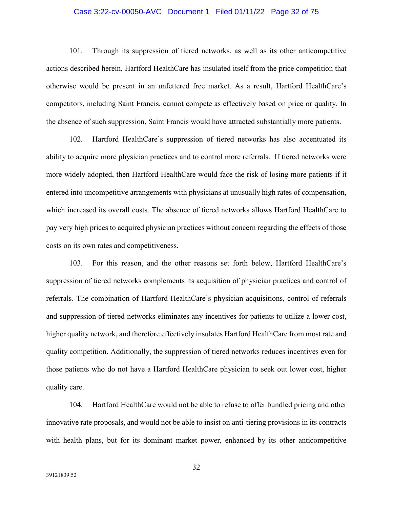## Case 3:22-cv-00050-AVC Document 1 Filed 01/11/22 Page 32 of 75

101. Through its suppression of tiered networks, as well as its other anticompetitive actions described herein, Hartford HealthCare has insulated itself from the price competition that otherwise would be present in an unfettered free market. As a result, Hartford HealthCare's competitors, including Saint Francis, cannot compete as effectively based on price or quality. In the absence of such suppression, Saint Francis would have attracted substantially more patients.

102. Hartford HealthCare's suppression of tiered networks has also accentuated its ability to acquire more physician practices and to control more referrals. If tiered networks were more widely adopted, then Hartford HealthCare would face the risk of losing more patients if it entered into uncompetitive arrangements with physicians at unusually high rates of compensation, which increased its overall costs. The absence of tiered networks allows Hartford HealthCare to pay very high prices to acquired physician practices without concern regarding the effects of those costs on its own rates and competitiveness.

103. For this reason, and the other reasons set forth below, Hartford HealthCare's suppression of tiered networks complements its acquisition of physician practices and control of referrals. The combination of Hartford HealthCare's physician acquisitions, control of referrals and suppression of tiered networks eliminates any incentives for patients to utilize a lower cost, higher quality network, and therefore effectively insulates Hartford HealthCare from most rate and quality competition. Additionally, the suppression of tiered networks reduces incentives even for those patients who do not have a Hartford HealthCare physician to seek out lower cost, higher quality care.

104. Hartford HealthCare would not be able to refuse to offer bundled pricing and other innovative rate proposals, and would not be able to insist on anti-tiering provisions in its contracts with health plans, but for its dominant market power, enhanced by its other anticompetitive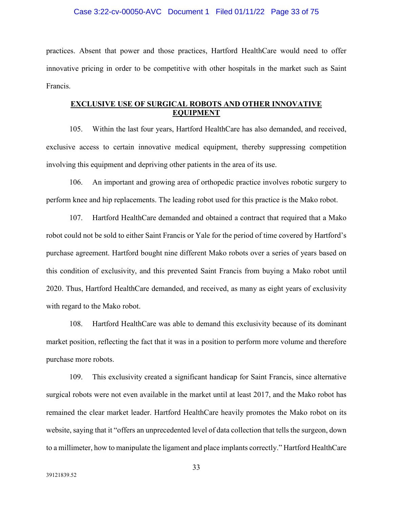#### Case 3:22-cv-00050-AVC Document 1 Filed 01/11/22 Page 33 of 75

practices. Absent that power and those practices, Hartford HealthCare would need to offer innovative pricing in order to be competitive with other hospitals in the market such as Saint Francis.

# **EXCLUSIVE USE OF SURGICAL ROBOTS AND OTHER INNOVATIVE EQUIPMENT**

105. Within the last four years, Hartford HealthCare has also demanded, and received, exclusive access to certain innovative medical equipment, thereby suppressing competition involving this equipment and depriving other patients in the area of its use.

106. An important and growing area of orthopedic practice involves robotic surgery to perform knee and hip replacements. The leading robot used for this practice is the Mako robot.

107. Hartford HealthCare demanded and obtained a contract that required that a Mako robot could not be sold to either Saint Francis or Yale for the period of time covered by Hartford's purchase agreement. Hartford bought nine different Mako robots over a series of years based on this condition of exclusivity, and this prevented Saint Francis from buying a Mako robot until 2020. Thus, Hartford HealthCare demanded, and received, as many as eight years of exclusivity with regard to the Mako robot.

108. Hartford HealthCare was able to demand this exclusivity because of its dominant market position, reflecting the fact that it was in a position to perform more volume and therefore purchase more robots.

109. This exclusivity created a significant handicap for Saint Francis, since alternative surgical robots were not even available in the market until at least 2017, and the Mako robot has remained the clear market leader. Hartford HealthCare heavily promotes the Mako robot on its website, saying that it "offers an unprecedented level of data collection that tells the surgeon, down to a millimeter, how to manipulate the ligament and place implants correctly." Hartford HealthCare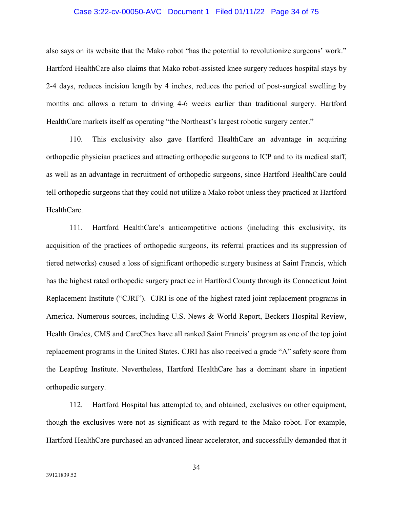### Case 3:22-cv-00050-AVC Document 1 Filed 01/11/22 Page 34 of 75

also says on its website that the Mako robot "has the potential to revolutionize surgeons' work." Hartford HealthCare also claims that Mako robot-assisted knee surgery reduces hospital stays by 2-4 days, reduces incision length by 4 inches, reduces the period of post-surgical swelling by months and allows a return to driving 4-6 weeks earlier than traditional surgery. Hartford HealthCare markets itself as operating "the Northeast's largest robotic surgery center."

110. This exclusivity also gave Hartford HealthCare an advantage in acquiring orthopedic physician practices and attracting orthopedic surgeons to ICP and to its medical staff, as well as an advantage in recruitment of orthopedic surgeons, since Hartford HealthCare could tell orthopedic surgeons that they could not utilize a Mako robot unless they practiced at Hartford HealthCare.

111. Hartford HealthCare's anticompetitive actions (including this exclusivity, its acquisition of the practices of orthopedic surgeons, its referral practices and its suppression of tiered networks) caused a loss of significant orthopedic surgery business at Saint Francis, which has the highest rated orthopedic surgery practice in Hartford County through its Connecticut Joint Replacement Institute ("CJRI"). CJRI is one of the highest rated joint replacement programs in America. Numerous sources, including U.S. News & World Report, Beckers Hospital Review, Health Grades, CMS and CareChex have all ranked Saint Francis' program as one of the top joint replacement programs in the United States. CJRI has also received a grade "A" safety score from the Leapfrog Institute. Nevertheless, Hartford HealthCare has a dominant share in inpatient orthopedic surgery.

112. Hartford Hospital has attempted to, and obtained, exclusives on other equipment, though the exclusives were not as significant as with regard to the Mako robot. For example, Hartford HealthCare purchased an advanced linear accelerator, and successfully demanded that it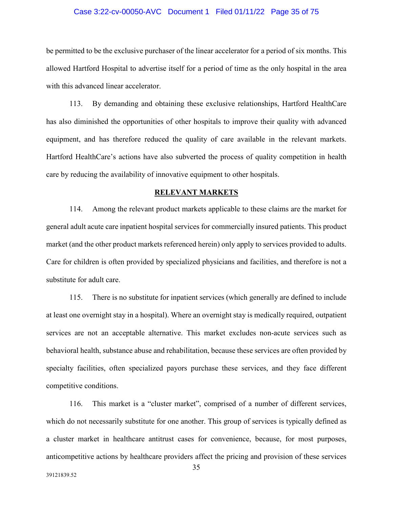### Case 3:22-cv-00050-AVC Document 1 Filed 01/11/22 Page 35 of 75

be permitted to be the exclusive purchaser of the linear accelerator for a period of six months. This allowed Hartford Hospital to advertise itself for a period of time as the only hospital in the area with this advanced linear accelerator.

113. By demanding and obtaining these exclusive relationships, Hartford HealthCare has also diminished the opportunities of other hospitals to improve their quality with advanced equipment, and has therefore reduced the quality of care available in the relevant markets. Hartford HealthCare's actions have also subverted the process of quality competition in health care by reducing the availability of innovative equipment to other hospitals.

#### **RELEVANT MARKETS**

114. Among the relevant product markets applicable to these claims are the market for general adult acute care inpatient hospital services for commercially insured patients. This product market (and the other product markets referenced herein) only apply to services provided to adults. Care for children is often provided by specialized physicians and facilities, and therefore is not a substitute for adult care.

115. There is no substitute for inpatient services (which generally are defined to include at least one overnight stay in a hospital). Where an overnight stay is medically required, outpatient services are not an acceptable alternative. This market excludes non-acute services such as behavioral health, substance abuse and rehabilitation, because these services are often provided by specialty facilities, often specialized payors purchase these services, and they face different competitive conditions.

116. This market is a "cluster market", comprised of a number of different services, which do not necessarily substitute for one another. This group of services is typically defined as a cluster market in healthcare antitrust cases for convenience, because, for most purposes, anticompetitive actions by healthcare providers affect the pricing and provision of these services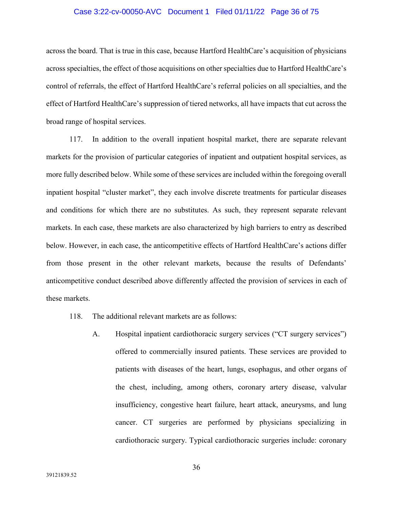### Case 3:22-cv-00050-AVC Document 1 Filed 01/11/22 Page 36 of 75

across the board. That is true in this case, because Hartford HealthCare's acquisition of physicians across specialties, the effect of those acquisitions on other specialties due to Hartford HealthCare's control of referrals, the effect of Hartford HealthCare's referral policies on all specialties, and the effect of Hartford HealthCare's suppression of tiered networks, all have impacts that cut across the broad range of hospital services.

117. In addition to the overall inpatient hospital market, there are separate relevant markets for the provision of particular categories of inpatient and outpatient hospital services, as more fully described below. While some of these services are included within the foregoing overall inpatient hospital "cluster market", they each involve discrete treatments for particular diseases and conditions for which there are no substitutes. As such, they represent separate relevant markets. In each case, these markets are also characterized by high barriers to entry as described below. However, in each case, the anticompetitive effects of Hartford HealthCare's actions differ from those present in the other relevant markets, because the results of Defendants' anticompetitive conduct described above differently affected the provision of services in each of these markets.

- 118. The additional relevant markets are as follows:
	- A. Hospital inpatient cardiothoracic surgery services ("CT surgery services") offered to commercially insured patients. These services are provided to patients with diseases of the heart, lungs, esophagus, and other organs of the chest, including, among others, coronary artery disease, valvular insufficiency, congestive heart failure, heart attack, aneurysms, and lung cancer. CT surgeries are performed by physicians specializing in cardiothoracic surgery. Typical cardiothoracic surgeries include: coronary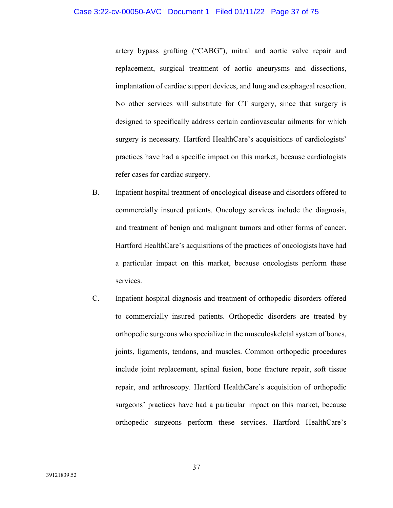artery bypass grafting ("CABG"), mitral and aortic valve repair and replacement, surgical treatment of aortic aneurysms and dissections, implantation of cardiac support devices, and lung and esophageal resection. No other services will substitute for CT surgery, since that surgery is designed to specifically address certain cardiovascular ailments for which surgery is necessary. Hartford HealthCare's acquisitions of cardiologists' practices have had a specific impact on this market, because cardiologists refer cases for cardiac surgery.

- B. Inpatient hospital treatment of oncological disease and disorders offered to commercially insured patients. Oncology services include the diagnosis, and treatment of benign and malignant tumors and other forms of cancer. Hartford HealthCare's acquisitions of the practices of oncologists have had a particular impact on this market, because oncologists perform these services.
- C. Inpatient hospital diagnosis and treatment of orthopedic disorders offered to commercially insured patients. Orthopedic disorders are treated by orthopedic surgeons who specialize in the musculoskeletal system of bones, joints, ligaments, tendons, and muscles. Common orthopedic procedures include joint replacement, spinal fusion, bone fracture repair, soft tissue repair, and arthroscopy. Hartford HealthCare's acquisition of orthopedic surgeons' practices have had a particular impact on this market, because orthopedic surgeons perform these services. Hartford HealthCare's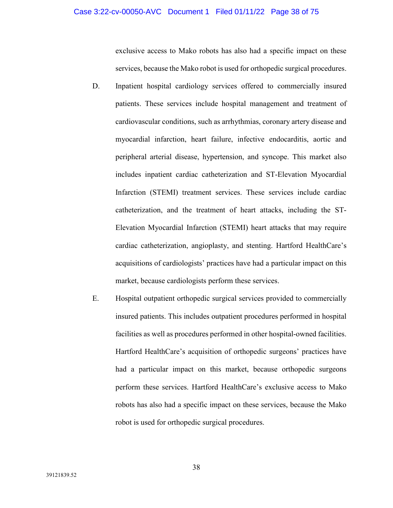exclusive access to Mako robots has also had a specific impact on these services, because the Mako robot is used for orthopedic surgical procedures.

- D. Inpatient hospital cardiology services offered to commercially insured patients. These services include hospital management and treatment of cardiovascular conditions, such as arrhythmias, coronary artery disease and myocardial infarction, heart failure, infective endocarditis, aortic and peripheral arterial disease, hypertension, and syncope. This market also includes inpatient cardiac catheterization and ST-Elevation Myocardial Infarction (STEMI) treatment services. These services include cardiac catheterization, and the treatment of heart attacks, including the ST-Elevation Myocardial Infarction (STEMI) heart attacks that may require cardiac catheterization, angioplasty, and stenting. Hartford HealthCare's acquisitions of cardiologists' practices have had a particular impact on this market, because cardiologists perform these services.
- E. Hospital outpatient orthopedic surgical services provided to commercially insured patients. This includes outpatient procedures performed in hospital facilities as well as procedures performed in other hospital-owned facilities. Hartford HealthCare's acquisition of orthopedic surgeons' practices have had a particular impact on this market, because orthopedic surgeons perform these services. Hartford HealthCare's exclusive access to Mako robots has also had a specific impact on these services, because the Mako robot is used for orthopedic surgical procedures.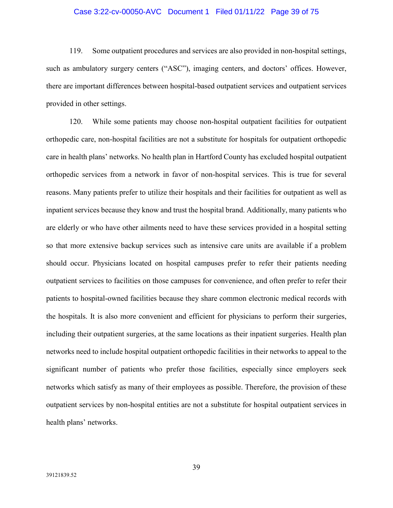#### Case 3:22-cv-00050-AVC Document 1 Filed 01/11/22 Page 39 of 75

119. Some outpatient procedures and services are also provided in non-hospital settings, such as ambulatory surgery centers ("ASC"), imaging centers, and doctors' offices. However, there are important differences between hospital-based outpatient services and outpatient services provided in other settings.

120. While some patients may choose non-hospital outpatient facilities for outpatient orthopedic care, non-hospital facilities are not a substitute for hospitals for outpatient orthopedic care in health plans' networks. No health plan in Hartford County has excluded hospital outpatient orthopedic services from a network in favor of non-hospital services. This is true for several reasons. Many patients prefer to utilize their hospitals and their facilities for outpatient as well as inpatient services because they know and trust the hospital brand. Additionally, many patients who are elderly or who have other ailments need to have these services provided in a hospital setting so that more extensive backup services such as intensive care units are available if a problem should occur. Physicians located on hospital campuses prefer to refer their patients needing outpatient services to facilities on those campuses for convenience, and often prefer to refer their patients to hospital-owned facilities because they share common electronic medical records with the hospitals. It is also more convenient and efficient for physicians to perform their surgeries, including their outpatient surgeries, at the same locations as their inpatient surgeries. Health plan networks need to include hospital outpatient orthopedic facilities in their networks to appeal to the significant number of patients who prefer those facilities, especially since employers seek networks which satisfy as many of their employees as possible. Therefore, the provision of these outpatient services by non-hospital entities are not a substitute for hospital outpatient services in health plans' networks.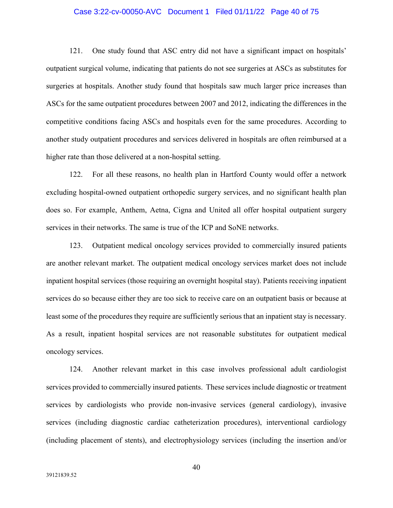## Case 3:22-cv-00050-AVC Document 1 Filed 01/11/22 Page 40 of 75

121. One study found that ASC entry did not have a significant impact on hospitals' outpatient surgical volume, indicating that patients do not see surgeries at ASCs as substitutes for surgeries at hospitals. Another study found that hospitals saw much larger price increases than ASCs for the same outpatient procedures between 2007 and 2012, indicating the differences in the competitive conditions facing ASCs and hospitals even for the same procedures. According to another study outpatient procedures and services delivered in hospitals are often reimbursed at a higher rate than those delivered at a non-hospital setting.

122. For all these reasons, no health plan in Hartford County would offer a network excluding hospital-owned outpatient orthopedic surgery services, and no significant health plan does so. For example, Anthem, Aetna, Cigna and United all offer hospital outpatient surgery services in their networks. The same is true of the ICP and SoNE networks.

123. Outpatient medical oncology services provided to commercially insured patients are another relevant market. The outpatient medical oncology services market does not include inpatient hospital services (those requiring an overnight hospital stay). Patients receiving inpatient services do so because either they are too sick to receive care on an outpatient basis or because at least some of the procedures they require are sufficiently serious that an inpatient stay is necessary. As a result, inpatient hospital services are not reasonable substitutes for outpatient medical oncology services.

124. Another relevant market in this case involves professional adult cardiologist services provided to commercially insured patients. These services include diagnostic or treatment services by cardiologists who provide non-invasive services (general cardiology), invasive services (including diagnostic cardiac catheterization procedures), interventional cardiology (including placement of stents), and electrophysiology services (including the insertion and/or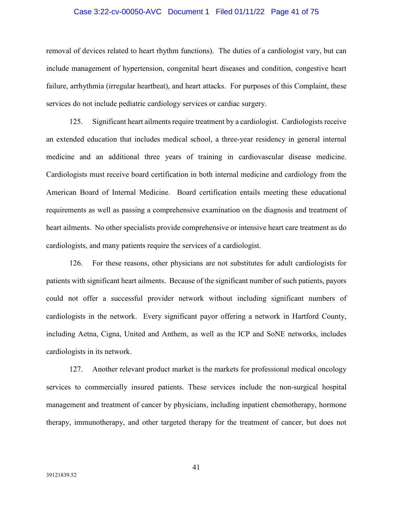## Case 3:22-cv-00050-AVC Document 1 Filed 01/11/22 Page 41 of 75

removal of devices related to heart rhythm functions). The duties of a cardiologist vary, but can include management of hypertension, congenital heart diseases and condition, congestive heart failure, arrhythmia (irregular heartbeat), and heart attacks. For purposes of this Complaint, these services do not include pediatric cardiology services or cardiac surgery.

125. Significant heart ailments require treatment by a cardiologist. Cardiologists receive an extended education that includes medical school, a three-year residency in general internal medicine and an additional three years of training in cardiovascular disease medicine. Cardiologists must receive board certification in both internal medicine and cardiology from the American Board of Internal Medicine. Board certification entails meeting these educational requirements as well as passing a comprehensive examination on the diagnosis and treatment of heart ailments. No other specialists provide comprehensive or intensive heart care treatment as do cardiologists, and many patients require the services of a cardiologist.

126. For these reasons, other physicians are not substitutes for adult cardiologists for patients with significant heart ailments. Because of the significant number of such patients, payors could not offer a successful provider network without including significant numbers of cardiologists in the network. Every significant payor offering a network in Hartford County, including Aetna, Cigna, United and Anthem, as well as the ICP and SoNE networks, includes cardiologists in its network.

127. Another relevant product market is the markets for professional medical oncology services to commercially insured patients. These services include the non-surgical hospital management and treatment of cancer by physicians, including inpatient chemotherapy, hormone therapy, immunotherapy, and other targeted therapy for the treatment of cancer, but does not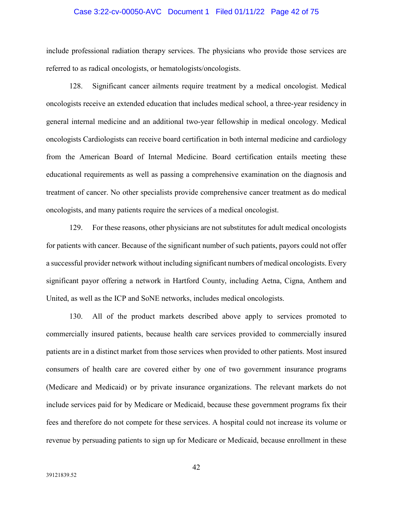# Case 3:22-cv-00050-AVC Document 1 Filed 01/11/22 Page 42 of 75

include professional radiation therapy services. The physicians who provide those services are referred to as radical oncologists, or hematologists/oncologists.

128. Significant cancer ailments require treatment by a medical oncologist. Medical oncologists receive an extended education that includes medical school, a three-year residency in general internal medicine and an additional two-year fellowship in medical oncology. Medical oncologists Cardiologists can receive board certification in both internal medicine and cardiology from the American Board of Internal Medicine. Board certification entails meeting these educational requirements as well as passing a comprehensive examination on the diagnosis and treatment of cancer. No other specialists provide comprehensive cancer treatment as do medical oncologists, and many patients require the services of a medical oncologist.

129. For these reasons, other physicians are not substitutes for adult medical oncologists for patients with cancer. Because of the significant number of such patients, payors could not offer a successful provider network without including significant numbers of medical oncologists. Every significant payor offering a network in Hartford County, including Aetna, Cigna, Anthem and United, as well as the ICP and SoNE networks, includes medical oncologists.

130. All of the product markets described above apply to services promoted to commercially insured patients, because health care services provided to commercially insured patients are in a distinct market from those services when provided to other patients. Most insured consumers of health care are covered either by one of two government insurance programs (Medicare and Medicaid) or by private insurance organizations. The relevant markets do not include services paid for by Medicare or Medicaid, because these government programs fix their fees and therefore do not compete for these services. A hospital could not increase its volume or revenue by persuading patients to sign up for Medicare or Medicaid, because enrollment in these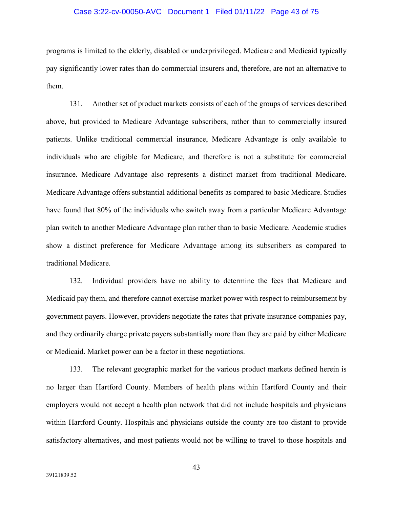## Case 3:22-cv-00050-AVC Document 1 Filed 01/11/22 Page 43 of 75

programs is limited to the elderly, disabled or underprivileged. Medicare and Medicaid typically pay significantly lower rates than do commercial insurers and, therefore, are not an alternative to them.

131. Another set of product markets consists of each of the groups of services described above, but provided to Medicare Advantage subscribers, rather than to commercially insured patients. Unlike traditional commercial insurance, Medicare Advantage is only available to individuals who are eligible for Medicare, and therefore is not a substitute for commercial insurance. Medicare Advantage also represents a distinct market from traditional Medicare. Medicare Advantage offers substantial additional benefits as compared to basic Medicare. Studies have found that 80% of the individuals who switch away from a particular Medicare Advantage plan switch to another Medicare Advantage plan rather than to basic Medicare. Academic studies show a distinct preference for Medicare Advantage among its subscribers as compared to traditional Medicare.

132. Individual providers have no ability to determine the fees that Medicare and Medicaid pay them, and therefore cannot exercise market power with respect to reimbursement by government payers. However, providers negotiate the rates that private insurance companies pay, and they ordinarily charge private payers substantially more than they are paid by either Medicare or Medicaid. Market power can be a factor in these negotiations.

133. The relevant geographic market for the various product markets defined herein is no larger than Hartford County. Members of health plans within Hartford County and their employers would not accept a health plan network that did not include hospitals and physicians within Hartford County. Hospitals and physicians outside the county are too distant to provide satisfactory alternatives, and most patients would not be willing to travel to those hospitals and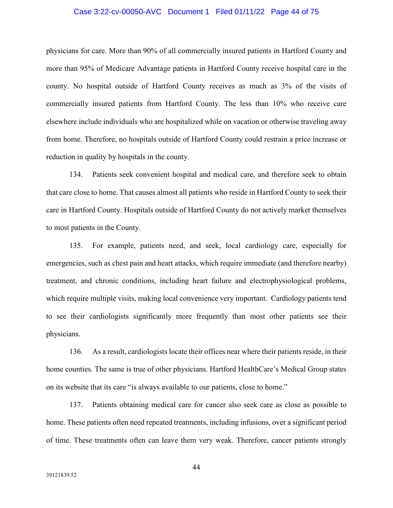### Case 3:22-cv-00050-AVC Document 1 Filed 01/11/22 Page 44 of 75

physicians for care. More than 90% of all commercially insured patients in Hartford County and more than 95% of Medicare Advantage patients in Hartford County receive hospital care in the county. No hospital outside of Hartford County receives as much as 3% of the visits of commercially insured patients from Hartford County. The less than 10% who receive care elsewhere include individuals who are hospitalized while on vacation or otherwise traveling away from home. Therefore, no hospitals outside of Hartford County could restrain a price increase or reduction in quality by hospitals in the county.

134. Patients seek convenient hospital and medical care, and therefore seek to obtain that care close to home. That causes almost all patients who reside in Hartford County to seek their care in Hartford County. Hospitals outside of Hartford County do not actively market themselves to most patients in the County.

135. For example, patients need, and seek, local cardiology care, especially for emergencies, such as chest pain and heart attacks, which require immediate (and therefore nearby) treatment, and chronic conditions, including heart failure and electrophysiological problems, which require multiple visits, making local convenience very important. Cardiology patients tend to see their cardiologists significantly more frequently than most other patients see their physicians.

136. As a result, cardiologists locate their offices near where their patients reside, in their home counties. The same is true of other physicians. Hartford HealthCare's Medical Group states on its website that its care "is always available to our patients, close to home."

137. Patients obtaining medical care for cancer also seek care as close as possible to home. These patients often need repeated treatments, including infusions, over a significant period of time. These treatments often can leave them very weak. Therefore, cancer patients strongly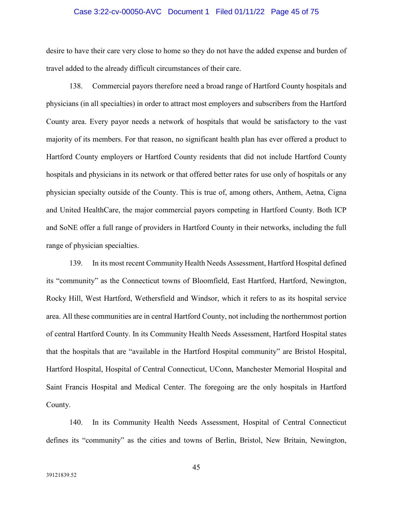#### Case 3:22-cv-00050-AVC Document 1 Filed 01/11/22 Page 45 of 75

desire to have their care very close to home so they do not have the added expense and burden of travel added to the already difficult circumstances of their care.

138. Commercial payors therefore need a broad range of Hartford County hospitals and physicians (in all specialties) in order to attract most employers and subscribers from the Hartford County area. Every payor needs a network of hospitals that would be satisfactory to the vast majority of its members. For that reason, no significant health plan has ever offered a product to Hartford County employers or Hartford County residents that did not include Hartford County hospitals and physicians in its network or that offered better rates for use only of hospitals or any physician specialty outside of the County. This is true of, among others, Anthem, Aetna, Cigna and United HealthCare, the major commercial payors competing in Hartford County. Both ICP and SoNE offer a full range of providers in Hartford County in their networks, including the full range of physician specialties.

139. In its most recent Community Health Needs Assessment, Hartford Hospital defined its "community" as the Connecticut towns of Bloomfield, East Hartford, Hartford, Newington, Rocky Hill, West Hartford, Wethersfield and Windsor, which it refers to as its hospital service area. All these communities are in central Hartford County, not including the northernmost portion of central Hartford County. In its Community Health Needs Assessment, Hartford Hospital states that the hospitals that are "available in the Hartford Hospital community" are Bristol Hospital, Hartford Hospital, Hospital of Central Connecticut, UConn, Manchester Memorial Hospital and Saint Francis Hospital and Medical Center. The foregoing are the only hospitals in Hartford County.

140. In its Community Health Needs Assessment, Hospital of Central Connecticut defines its "community" as the cities and towns of Berlin, Bristol, New Britain, Newington,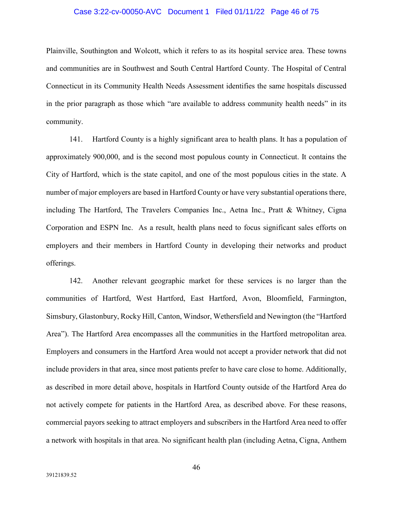## Case 3:22-cv-00050-AVC Document 1 Filed 01/11/22 Page 46 of 75

Plainville, Southington and Wolcott, which it refers to as its hospital service area. These towns and communities are in Southwest and South Central Hartford County. The Hospital of Central Connecticut in its Community Health Needs Assessment identifies the same hospitals discussed in the prior paragraph as those which "are available to address community health needs" in its community.

141. Hartford County is a highly significant area to health plans. It has a population of approximately 900,000, and is the second most populous county in Connecticut. It contains the City of Hartford, which is the state capitol, and one of the most populous cities in the state. A number of major employers are based in Hartford County or have very substantial operations there, including The Hartford, The Travelers Companies Inc., Aetna Inc., Pratt & Whitney, Cigna Corporation and ESPN Inc. As a result, health plans need to focus significant sales efforts on employers and their members in Hartford County in developing their networks and product offerings.

142. Another relevant geographic market for these services is no larger than the communities of Hartford, West Hartford, East Hartford, Avon, Bloomfield, Farmington, Simsbury, Glastonbury, Rocky Hill, Canton, Windsor, Wethersfield and Newington (the "Hartford Area"). The Hartford Area encompasses all the communities in the Hartford metropolitan area. Employers and consumers in the Hartford Area would not accept a provider network that did not include providers in that area, since most patients prefer to have care close to home. Additionally, as described in more detail above, hospitals in Hartford County outside of the Hartford Area do not actively compete for patients in the Hartford Area, as described above. For these reasons, commercial payors seeking to attract employers and subscribers in the Hartford Area need to offer a network with hospitals in that area. No significant health plan (including Aetna, Cigna, Anthem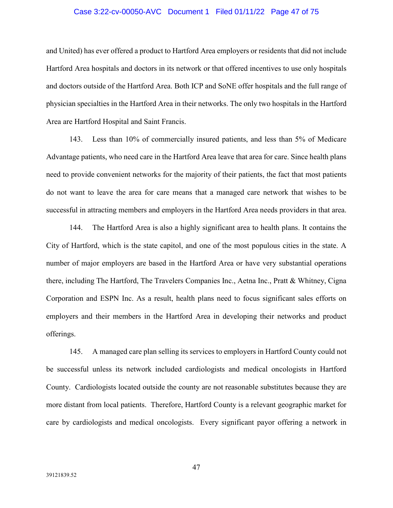## Case 3:22-cv-00050-AVC Document 1 Filed 01/11/22 Page 47 of 75

and United) has ever offered a product to Hartford Area employers or residents that did not include Hartford Area hospitals and doctors in its network or that offered incentives to use only hospitals and doctors outside of the Hartford Area. Both ICP and SoNE offer hospitals and the full range of physician specialties in the Hartford Area in their networks. The only two hospitals in the Hartford Area are Hartford Hospital and Saint Francis.

143. Less than 10% of commercially insured patients, and less than 5% of Medicare Advantage patients, who need care in the Hartford Area leave that area for care. Since health plans need to provide convenient networks for the majority of their patients, the fact that most patients do not want to leave the area for care means that a managed care network that wishes to be successful in attracting members and employers in the Hartford Area needs providers in that area.

144. The Hartford Area is also a highly significant area to health plans. It contains the City of Hartford, which is the state capitol, and one of the most populous cities in the state. A number of major employers are based in the Hartford Area or have very substantial operations there, including The Hartford, The Travelers Companies Inc., Aetna Inc., Pratt & Whitney, Cigna Corporation and ESPN Inc. As a result, health plans need to focus significant sales efforts on employers and their members in the Hartford Area in developing their networks and product offerings.

145. A managed care plan selling its services to employers in Hartford County could not be successful unless its network included cardiologists and medical oncologists in Hartford County. Cardiologists located outside the county are not reasonable substitutes because they are more distant from local patients. Therefore, Hartford County is a relevant geographic market for care by cardiologists and medical oncologists. Every significant payor offering a network in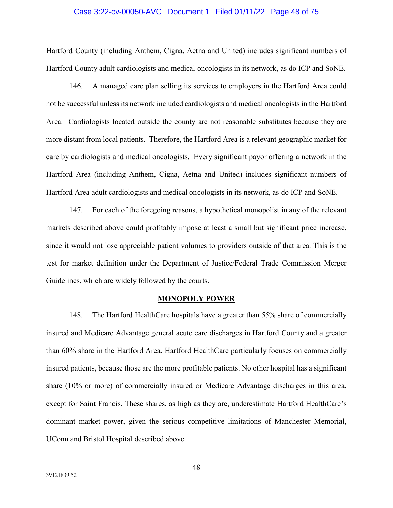#### Case 3:22-cv-00050-AVC Document 1 Filed 01/11/22 Page 48 of 75

Hartford County (including Anthem, Cigna, Aetna and United) includes significant numbers of Hartford County adult cardiologists and medical oncologists in its network, as do ICP and SoNE.

146. A managed care plan selling its services to employers in the Hartford Area could not be successful unless its network included cardiologists and medical oncologists in the Hartford Area. Cardiologists located outside the county are not reasonable substitutes because they are more distant from local patients. Therefore, the Hartford Area is a relevant geographic market for care by cardiologists and medical oncologists. Every significant payor offering a network in the Hartford Area (including Anthem, Cigna, Aetna and United) includes significant numbers of Hartford Area adult cardiologists and medical oncologists in its network, as do ICP and SoNE.

147. For each of the foregoing reasons, a hypothetical monopolist in any of the relevant markets described above could profitably impose at least a small but significant price increase, since it would not lose appreciable patient volumes to providers outside of that area. This is the test for market definition under the Department of Justice/Federal Trade Commission Merger Guidelines, which are widely followed by the courts.

#### **MONOPOLY POWER**

148. The Hartford HealthCare hospitals have a greater than 55% share of commercially insured and Medicare Advantage general acute care discharges in Hartford County and a greater than 60% share in the Hartford Area. Hartford HealthCare particularly focuses on commercially insured patients, because those are the more profitable patients. No other hospital has a significant share (10% or more) of commercially insured or Medicare Advantage discharges in this area, except for Saint Francis. These shares, as high as they are, underestimate Hartford HealthCare's dominant market power, given the serious competitive limitations of Manchester Memorial, UConn and Bristol Hospital described above.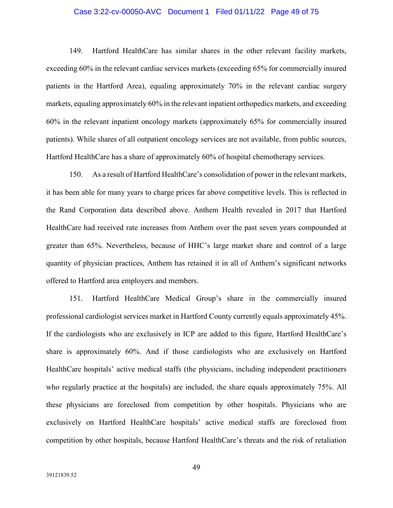## Case 3:22-cv-00050-AVC Document 1 Filed 01/11/22 Page 49 of 75

149. Hartford HealthCare has similar shares in the other relevant facility markets, exceeding 60% in the relevant cardiac services markets (exceeding 65% for commercially insured patients in the Hartford Area), equaling approximately 70% in the relevant cardiac surgery markets, equaling approximately 60% in the relevant inpatient orthopedics markets, and exceeding 60% in the relevant inpatient oncology markets (approximately 65% for commercially insured patients). While shares of all outpatient oncology services are not available, from public sources, Hartford HealthCare has a share of approximately 60% of hospital chemotherapy services.

150. As a result of Hartford HealthCare's consolidation of power in the relevant markets, it has been able for many years to charge prices far above competitive levels. This is reflected in the Rand Corporation data described above. Anthem Health revealed in 2017 that Hartford HealthCare had received rate increases from Anthem over the past seven years compounded at greater than 65%. Nevertheless, because of HHC's large market share and control of a large quantity of physician practices, Anthem has retained it in all of Anthem's significant networks offered to Hartford area employers and members.

151. Hartford HealthCare Medical Group's share in the commercially insured professional cardiologist services market in Hartford County currently equals approximately 45%. If the cardiologists who are exclusively in ICP are added to this figure, Hartford HealthCare's share is approximately 60%. And if those cardiologists who are exclusively on Hartford HealthCare hospitals' active medical staffs (the physicians, including independent practitioners who regularly practice at the hospitals) are included, the share equals approximately 75%. All these physicians are foreclosed from competition by other hospitals. Physicians who are exclusively on Hartford HealthCare hospitals' active medical staffs are foreclosed from competition by other hospitals, because Hartford HealthCare's threats and the risk of retaliation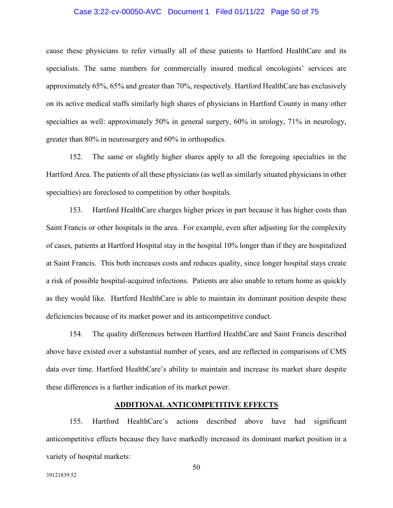## Case 3:22-cv-00050-AVC Document 1 Filed 01/11/22 Page 50 of 75

cause these physicians to refer virtually all of these patients to Hartford HealthCare and its specialists. The same numbers for commercially insured medical oncologists' services are approximately 65%, 65% and greater than 70%, respectively. Hartford HealthCare has exclusively on its active medical staffs similarly high shares of physicians in Hartford County in many other specialties as well: approximately 50% in general surgery, 60% in urology, 71% in neurology, greater than 80% in neurosurgery and 60% in orthopedics.

152. The same or slightly higher shares apply to all the foregoing specialties in the Hartford Area. The patients of all these physicians (as well as similarly situated physicians in other specialties) are foreclosed to competition by other hospitals.

153. Hartford HealthCare charges higher prices in part because it has higher costs than Saint Francis or other hospitals in the area. For example, even after adjusting for the complexity of cases, patients at Hartford Hospital stay in the hospital 10% longer than if they are hospitalized at Saint Francis. This both increases costs and reduces quality, since longer hospital stays create a risk of possible hospital-acquired infections. Patients are also unable to return home as quickly as they would like. Hartford HealthCare is able to maintain its dominant position despite these deficiencies because of its market power and its anticompetitive conduct.

154. The quality differences between Hartford HealthCare and Saint Francis described above have existed over a substantial number of years, and are reflected in comparisons of CMS data over time. Hartford HealthCare's ability to maintain and increase its market share despite these differences is a further indication of its market power.

## **ADDITIONAL ANTICOMPETITIVE EFFECTS**

155. Hartford HealthCare's actions described above have had significant anticompetitive effects because they have markedly increased its dominant market position in a variety of hospital markets: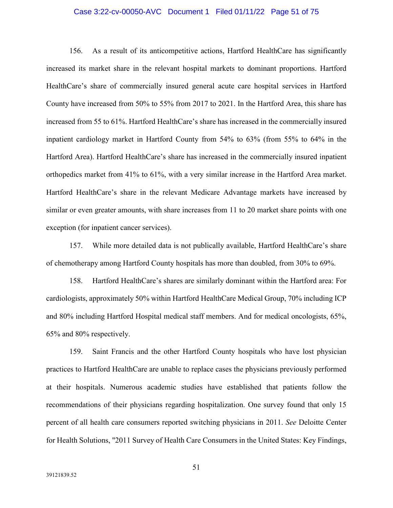## Case 3:22-cv-00050-AVC Document 1 Filed 01/11/22 Page 51 of 75

156. As a result of its anticompetitive actions, Hartford HealthCare has significantly increased its market share in the relevant hospital markets to dominant proportions. Hartford HealthCare's share of commercially insured general acute care hospital services in Hartford County have increased from 50% to 55% from 2017 to 2021. In the Hartford Area, this share has increased from 55 to 61%. Hartford HealthCare's share has increased in the commercially insured inpatient cardiology market in Hartford County from 54% to 63% (from 55% to 64% in the Hartford Area). Hartford HealthCare's share has increased in the commercially insured inpatient orthopedics market from 41% to 61%, with a very similar increase in the Hartford Area market. Hartford HealthCare's share in the relevant Medicare Advantage markets have increased by similar or even greater amounts, with share increases from 11 to 20 market share points with one exception (for inpatient cancer services).

157. While more detailed data is not publically available, Hartford HealthCare's share of chemotherapy among Hartford County hospitals has more than doubled, from 30% to 69%.

158. Hartford HealthCare's shares are similarly dominant within the Hartford area: For cardiologists, approximately 50% within Hartford HealthCare Medical Group, 70% including ICP and 80% including Hartford Hospital medical staff members. And for medical oncologists, 65%, 65% and 80% respectively.

159. Saint Francis and the other Hartford County hospitals who have lost physician practices to Hartford HealthCare are unable to replace cases the physicians previously performed at their hospitals. Numerous academic studies have established that patients follow the recommendations of their physicians regarding hospitalization. One survey found that only 15 percent of all health care consumers reported switching physicians in 2011. *See* Deloitte Center for Health Solutions, "2011 Survey of Health Care Consumers in the United States: Key Findings,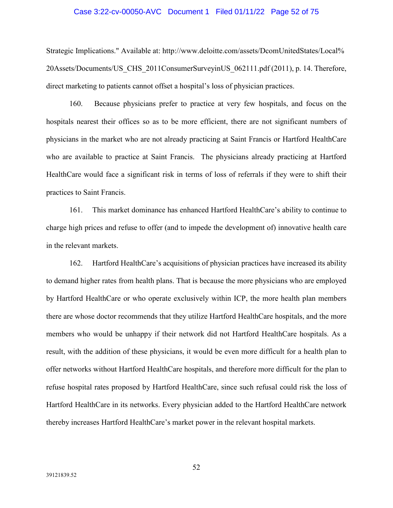#### Case 3:22-cv-00050-AVC Document 1 Filed 01/11/22 Page 52 of 75

Strategic Implications." Available at: http://www.deloitte.com/assets/DcomUnitedStates/Local% 20Assets/Documents/US\_CHS\_2011ConsumerSurveyinUS\_062111.pdf (2011), p. 14. Therefore, direct marketing to patients cannot offset a hospital's loss of physician practices.

160. Because physicians prefer to practice at very few hospitals, and focus on the hospitals nearest their offices so as to be more efficient, there are not significant numbers of physicians in the market who are not already practicing at Saint Francis or Hartford HealthCare who are available to practice at Saint Francis. The physicians already practicing at Hartford HealthCare would face a significant risk in terms of loss of referrals if they were to shift their practices to Saint Francis.

161. This market dominance has enhanced Hartford HealthCare's ability to continue to charge high prices and refuse to offer (and to impede the development of) innovative health care in the relevant markets.

162. Hartford HealthCare's acquisitions of physician practices have increased its ability to demand higher rates from health plans. That is because the more physicians who are employed by Hartford HealthCare or who operate exclusively within ICP, the more health plan members there are whose doctor recommends that they utilize Hartford HealthCare hospitals, and the more members who would be unhappy if their network did not Hartford HealthCare hospitals. As a result, with the addition of these physicians, it would be even more difficult for a health plan to offer networks without Hartford HealthCare hospitals, and therefore more difficult for the plan to refuse hospital rates proposed by Hartford HealthCare, since such refusal could risk the loss of Hartford HealthCare in its networks. Every physician added to the Hartford HealthCare network thereby increases Hartford HealthCare's market power in the relevant hospital markets.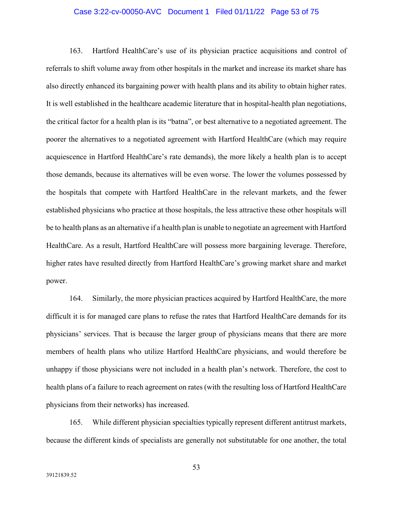### Case 3:22-cv-00050-AVC Document 1 Filed 01/11/22 Page 53 of 75

163. Hartford HealthCare's use of its physician practice acquisitions and control of referrals to shift volume away from other hospitals in the market and increase its market share has also directly enhanced its bargaining power with health plans and its ability to obtain higher rates. It is well established in the healthcare academic literature that in hospital-health plan negotiations, the critical factor for a health plan is its "batna", or best alternative to a negotiated agreement. The poorer the alternatives to a negotiated agreement with Hartford HealthCare (which may require acquiescence in Hartford HealthCare's rate demands), the more likely a health plan is to accept those demands, because its alternatives will be even worse. The lower the volumes possessed by the hospitals that compete with Hartford HealthCare in the relevant markets, and the fewer established physicians who practice at those hospitals, the less attractive these other hospitals will be to health plans as an alternative if a health plan is unable to negotiate an agreement with Hartford HealthCare. As a result, Hartford HealthCare will possess more bargaining leverage. Therefore, higher rates have resulted directly from Hartford HealthCare's growing market share and market power.

164. Similarly, the more physician practices acquired by Hartford HealthCare, the more difficult it is for managed care plans to refuse the rates that Hartford HealthCare demands for its physicians' services. That is because the larger group of physicians means that there are more members of health plans who utilize Hartford HealthCare physicians, and would therefore be unhappy if those physicians were not included in a health plan's network. Therefore, the cost to health plans of a failure to reach agreement on rates (with the resulting loss of Hartford HealthCare physicians from their networks) has increased.

165. While different physician specialties typically represent different antitrust markets, because the different kinds of specialists are generally not substitutable for one another, the total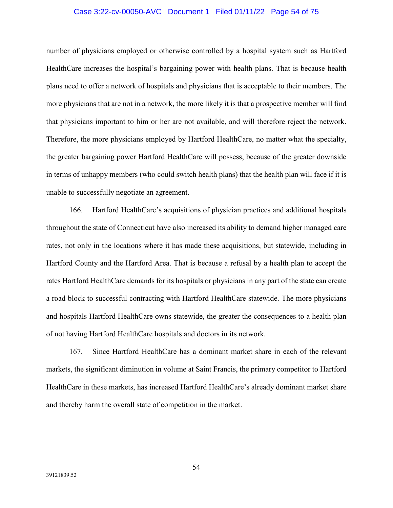### Case 3:22-cv-00050-AVC Document 1 Filed 01/11/22 Page 54 of 75

number of physicians employed or otherwise controlled by a hospital system such as Hartford HealthCare increases the hospital's bargaining power with health plans. That is because health plans need to offer a network of hospitals and physicians that is acceptable to their members. The more physicians that are not in a network, the more likely it is that a prospective member will find that physicians important to him or her are not available, and will therefore reject the network. Therefore, the more physicians employed by Hartford HealthCare, no matter what the specialty, the greater bargaining power Hartford HealthCare will possess, because of the greater downside in terms of unhappy members (who could switch health plans) that the health plan will face if it is unable to successfully negotiate an agreement.

166. Hartford HealthCare's acquisitions of physician practices and additional hospitals throughout the state of Connecticut have also increased its ability to demand higher managed care rates, not only in the locations where it has made these acquisitions, but statewide, including in Hartford County and the Hartford Area. That is because a refusal by a health plan to accept the rates Hartford HealthCare demands for its hospitals or physicians in any part of the state can create a road block to successful contracting with Hartford HealthCare statewide. The more physicians and hospitals Hartford HealthCare owns statewide, the greater the consequences to a health plan of not having Hartford HealthCare hospitals and doctors in its network.

167. Since Hartford HealthCare has a dominant market share in each of the relevant markets, the significant diminution in volume at Saint Francis, the primary competitor to Hartford HealthCare in these markets, has increased Hartford HealthCare's already dominant market share and thereby harm the overall state of competition in the market.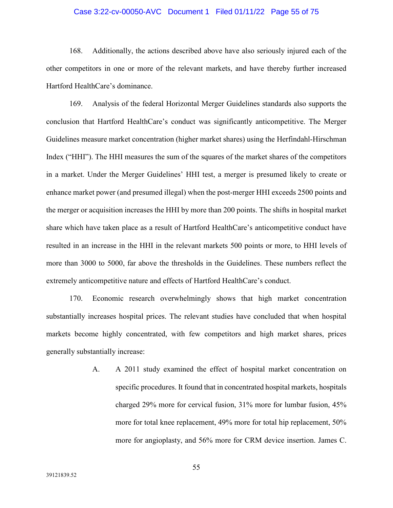## Case 3:22-cv-00050-AVC Document 1 Filed 01/11/22 Page 55 of 75

168. Additionally, the actions described above have also seriously injured each of the other competitors in one or more of the relevant markets, and have thereby further increased Hartford HealthCare's dominance.

169. Analysis of the federal Horizontal Merger Guidelines standards also supports the conclusion that Hartford HealthCare's conduct was significantly anticompetitive. The Merger Guidelines measure market concentration (higher market shares) using the Herfindahl-Hirschman Index ("HHI"). The HHI measures the sum of the squares of the market shares of the competitors in a market. Under the Merger Guidelines' HHI test, a merger is presumed likely to create or enhance market power (and presumed illegal) when the post-merger HHI exceeds 2500 points and the merger or acquisition increases the HHI by more than 200 points. The shifts in hospital market share which have taken place as a result of Hartford HealthCare's anticompetitive conduct have resulted in an increase in the HHI in the relevant markets 500 points or more, to HHI levels of more than 3000 to 5000, far above the thresholds in the Guidelines. These numbers reflect the extremely anticompetitive nature and effects of Hartford HealthCare's conduct.

170. Economic research overwhelmingly shows that high market concentration substantially increases hospital prices. The relevant studies have concluded that when hospital markets become highly concentrated, with few competitors and high market shares, prices generally substantially increase:

> A. A 2011 study examined the effect of hospital market concentration on specific procedures. It found that in concentrated hospital markets, hospitals charged 29% more for cervical fusion, 31% more for lumbar fusion, 45% more for total knee replacement, 49% more for total hip replacement, 50% more for angioplasty, and 56% more for CRM device insertion. James C.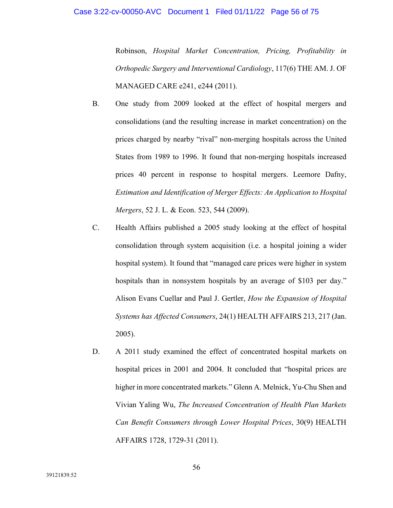Robinson, *Hospital Market Concentration, Pricing, Profitability in Orthopedic Surgery and Interventional Cardiology*, 117(6) THE AM. J. OF MANAGED CARE e241, e244 (2011).

- B. One study from 2009 looked at the effect of hospital mergers and consolidations (and the resulting increase in market concentration) on the prices charged by nearby "rival" non-merging hospitals across the United States from 1989 to 1996. It found that non-merging hospitals increased prices 40 percent in response to hospital mergers. Leemore Dafny, *Estimation and Identification of Merger Effects: An Application to Hospital Mergers*, 52 J. L. & Econ. 523, 544 (2009).
- C. Health Affairs published a 2005 study looking at the effect of hospital consolidation through system acquisition (i.e. a hospital joining a wider hospital system). It found that "managed care prices were higher in system hospitals than in nonsystem hospitals by an average of \$103 per day." Alison Evans Cuellar and Paul J. Gertler, *How the Expansion of Hospital Systems has Affected Consumers*, 24(1) HEALTH AFFAIRS 213, 217 (Jan. 2005).
- D. A 2011 study examined the effect of concentrated hospital markets on hospital prices in 2001 and 2004. It concluded that "hospital prices are higher in more concentrated markets." Glenn A. Melnick, Yu-Chu Shen and Vivian Yaling Wu, *The Increased Concentration of Health Plan Markets Can Benefit Consumers through Lower Hospital Prices*, 30(9) HEALTH AFFAIRS 1728, 1729-31 (2011).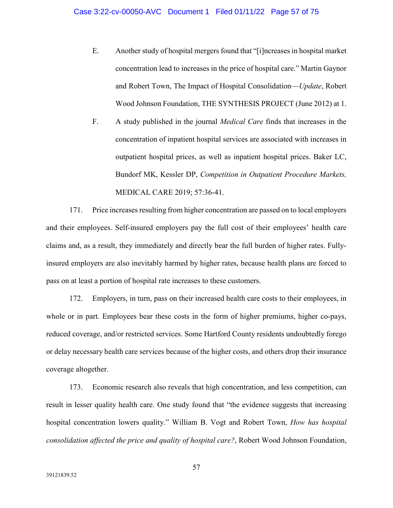E. Another study of hospital mergers found that "[i]ncreases in hospital market concentration lead to increases in the price of hospital care." Martin Gaynor and Robert Town, The Impact of Hospital Consolidation—*Update*, Robert Wood Johnson Foundation, THE SYNTHESIS PROJECT (June 2012) at 1.

F. A study published in the journal *Medical Care* finds that increases in the concentration of inpatient hospital services are associated with increases in outpatient hospital prices, as well as inpatient hospital prices. Baker LC, Bundorf MK, Kessler DP, *Competition in Outpatient Procedure Markets,* MEDICAL CARE 2019; 57:36-41.

171. Price increases resulting from higher concentration are passed on to local employers and their employees. Self-insured employers pay the full cost of their employees' health care claims and, as a result, they immediately and directly bear the full burden of higher rates. Fullyinsured employers are also inevitably harmed by higher rates, because health plans are forced to pass on at least a portion of hospital rate increases to these customers.

172. Employers, in turn, pass on their increased health care costs to their employees, in whole or in part. Employees bear these costs in the form of higher premiums, higher co-pays, reduced coverage, and/or restricted services. Some Hartford County residents undoubtedly forego or delay necessary health care services because of the higher costs, and others drop their insurance coverage altogether.

173. Economic research also reveals that high concentration, and less competition, can result in lesser quality health care. One study found that "the evidence suggests that increasing hospital concentration lowers quality." William B. Vogt and Robert Town, *How has hospital consolidation affected the price and quality of hospital care?*, Robert Wood Johnson Foundation,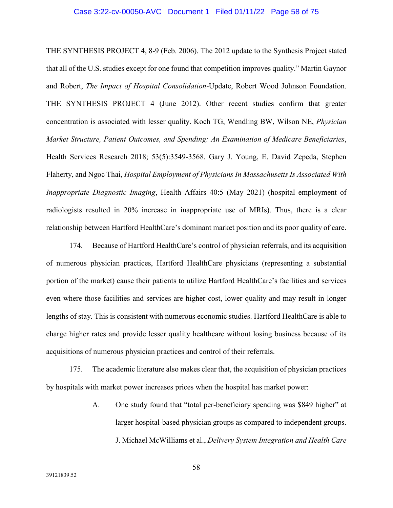# Case 3:22-cv-00050-AVC Document 1 Filed 01/11/22 Page 58 of 75

THE SYNTHESIS PROJECT 4, 8-9 (Feb. 2006). The 2012 update to the Synthesis Project stated that all of the U.S. studies except for one found that competition improves quality." Martin Gaynor and Robert, *The Impact of Hospital Consolidation-*Update, Robert Wood Johnson Foundation. THE SYNTHESIS PROJECT 4 (June 2012). Other recent studies confirm that greater concentration is associated with lesser quality. Koch TG, Wendling BW, Wilson NE, *Physician Market Structure, Patient Outcomes, and Spending: An Examination of Medicare Beneficiaries*, Health Services Research 2018; 53(5):3549-3568. Gary J. Young, E. David Zepeda, Stephen Flaherty, and Ngoc Thai, *Hospital Employment of Physicians In Massachusetts Is Associated With Inappropriate Diagnostic Imaging*, Health Affairs 40:5 (May 2021) (hospital employment of radiologists resulted in 20% increase in inappropriate use of MRIs). Thus, there is a clear relationship between Hartford HealthCare's dominant market position and its poor quality of care.

174. Because of Hartford HealthCare's control of physician referrals, and its acquisition of numerous physician practices, Hartford HealthCare physicians (representing a substantial portion of the market) cause their patients to utilize Hartford HealthCare's facilities and services even where those facilities and services are higher cost, lower quality and may result in longer lengths of stay. This is consistent with numerous economic studies. Hartford HealthCare is able to charge higher rates and provide lesser quality healthcare without losing business because of its acquisitions of numerous physician practices and control of their referrals.

175. The academic literature also makes clear that, the acquisition of physician practices by hospitals with market power increases prices when the hospital has market power:

> A. One study found that "total per-beneficiary spending was \$849 higher" at larger hospital-based physician groups as compared to independent groups. J. Michael McWilliams et al., *Delivery System Integration and Health Care*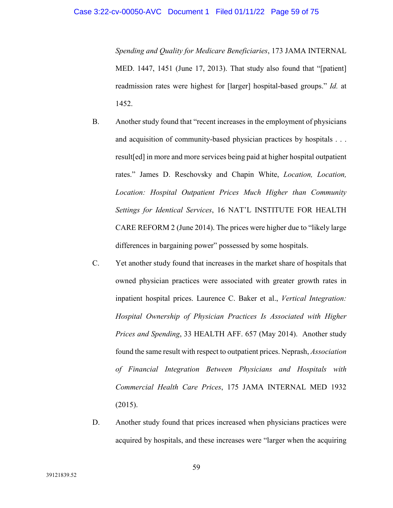*Spending and Quality for Medicare Beneficiaries*, 173 JAMA INTERNAL MED. 1447, 1451 (June 17, 2013). That study also found that "[patient] readmission rates were highest for [larger] hospital-based groups." *Id.* at 1452.

- B. Another study found that "recent increases in the employment of physicians and acquisition of community-based physician practices by hospitals . . . result[ed] in more and more services being paid at higher hospital outpatient rates." James D. Reschovsky and Chapin White, *Location, Location, Location: Hospital Outpatient Prices Much Higher than Community Settings for Identical Services*, 16 NAT'L INSTITUTE FOR HEALTH CARE REFORM 2 (June 2014). The prices were higher due to "likely large differences in bargaining power" possessed by some hospitals.
- C. Yet another study found that increases in the market share of hospitals that owned physician practices were associated with greater growth rates in inpatient hospital prices. Laurence C. Baker et al., *Vertical Integration: Hospital Ownership of Physician Practices Is Associated with Higher Prices and Spending*, 33 HEALTH AFF. 657 (May 2014). Another study found the same result with respect to outpatient prices. Neprash, *Association of Financial Integration Between Physicians and Hospitals with Commercial Health Care Prices*, 175 JAMA INTERNAL MED 1932  $(2015).$
- D. Another study found that prices increased when physicians practices were acquired by hospitals, and these increases were "larger when the acquiring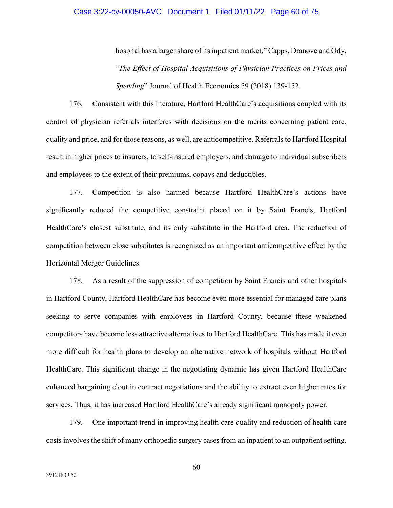## Case 3:22-cv-00050-AVC Document 1 Filed 01/11/22 Page 60 of 75

hospital has a larger share of its inpatient market." Capps, Dranove and Ody, "*The Effect of Hospital Acquisitions of Physician Practices on Prices and Spending*" Journal of Health Economics 59 (2018) 139-152.

176. Consistent with this literature, Hartford HealthCare's acquisitions coupled with its control of physician referrals interferes with decisions on the merits concerning patient care, quality and price, and for those reasons, as well, are anticompetitive. Referrals to Hartford Hospital result in higher prices to insurers, to self-insured employers, and damage to individual subscribers and employees to the extent of their premiums, copays and deductibles.

177. Competition is also harmed because Hartford HealthCare's actions have significantly reduced the competitive constraint placed on it by Saint Francis, Hartford HealthCare's closest substitute, and its only substitute in the Hartford area. The reduction of competition between close substitutes is recognized as an important anticompetitive effect by the Horizontal Merger Guidelines.

178. As a result of the suppression of competition by Saint Francis and other hospitals in Hartford County, Hartford HealthCare has become even more essential for managed care plans seeking to serve companies with employees in Hartford County, because these weakened competitors have become less attractive alternatives to Hartford HealthCare. This has made it even more difficult for health plans to develop an alternative network of hospitals without Hartford HealthCare. This significant change in the negotiating dynamic has given Hartford HealthCare enhanced bargaining clout in contract negotiations and the ability to extract even higher rates for services. Thus, it has increased Hartford HealthCare's already significant monopoly power.

179. One important trend in improving health care quality and reduction of health care costs involves the shift of many orthopedic surgery cases from an inpatient to an outpatient setting.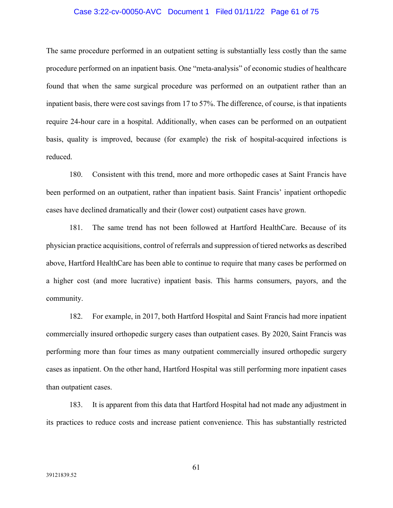## Case 3:22-cv-00050-AVC Document 1 Filed 01/11/22 Page 61 of 75

The same procedure performed in an outpatient setting is substantially less costly than the same procedure performed on an inpatient basis. One "meta-analysis" of economic studies of healthcare found that when the same surgical procedure was performed on an outpatient rather than an inpatient basis, there were cost savings from 17 to 57%. The difference, of course, is that inpatients require 24-hour care in a hospital. Additionally, when cases can be performed on an outpatient basis, quality is improved, because (for example) the risk of hospital-acquired infections is reduced.

180. Consistent with this trend, more and more orthopedic cases at Saint Francis have been performed on an outpatient, rather than inpatient basis. Saint Francis' inpatient orthopedic cases have declined dramatically and their (lower cost) outpatient cases have grown.

181. The same trend has not been followed at Hartford HealthCare. Because of its physician practice acquisitions, control of referrals and suppression of tiered networks as described above, Hartford HealthCare has been able to continue to require that many cases be performed on a higher cost (and more lucrative) inpatient basis. This harms consumers, payors, and the community.

182. For example, in 2017, both Hartford Hospital and Saint Francis had more inpatient commercially insured orthopedic surgery cases than outpatient cases. By 2020, Saint Francis was performing more than four times as many outpatient commercially insured orthopedic surgery cases as inpatient. On the other hand, Hartford Hospital was still performing more inpatient cases than outpatient cases.

183. It is apparent from this data that Hartford Hospital had not made any adjustment in its practices to reduce costs and increase patient convenience. This has substantially restricted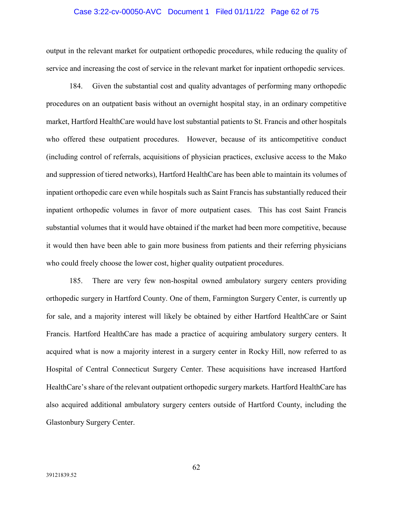#### Case 3:22-cv-00050-AVC Document 1 Filed 01/11/22 Page 62 of 75

output in the relevant market for outpatient orthopedic procedures, while reducing the quality of service and increasing the cost of service in the relevant market for inpatient orthopedic services.

184. Given the substantial cost and quality advantages of performing many orthopedic procedures on an outpatient basis without an overnight hospital stay, in an ordinary competitive market, Hartford HealthCare would have lost substantial patients to St. Francis and other hospitals who offered these outpatient procedures. However, because of its anticompetitive conduct (including control of referrals, acquisitions of physician practices, exclusive access to the Mako and suppression of tiered networks), Hartford HealthCare has been able to maintain its volumes of inpatient orthopedic care even while hospitals such as Saint Francis has substantially reduced their inpatient orthopedic volumes in favor of more outpatient cases. This has cost Saint Francis substantial volumes that it would have obtained if the market had been more competitive, because it would then have been able to gain more business from patients and their referring physicians who could freely choose the lower cost, higher quality outpatient procedures.

185. There are very few non-hospital owned ambulatory surgery centers providing orthopedic surgery in Hartford County. One of them, Farmington Surgery Center, is currently up for sale, and a majority interest will likely be obtained by either Hartford HealthCare or Saint Francis. Hartford HealthCare has made a practice of acquiring ambulatory surgery centers. It acquired what is now a majority interest in a surgery center in Rocky Hill, now referred to as Hospital of Central Connecticut Surgery Center. These acquisitions have increased Hartford HealthCare's share of the relevant outpatient orthopedic surgery markets. Hartford HealthCare has also acquired additional ambulatory surgery centers outside of Hartford County, including the Glastonbury Surgery Center.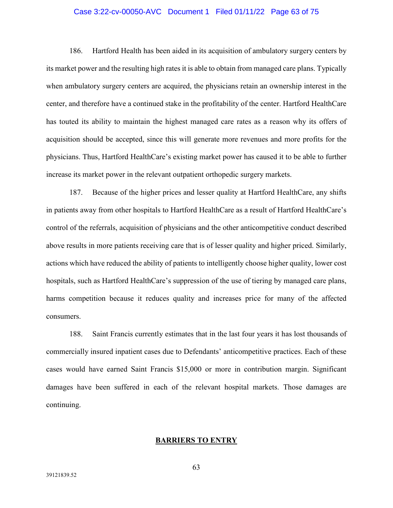## Case 3:22-cv-00050-AVC Document 1 Filed 01/11/22 Page 63 of 75

186. Hartford Health has been aided in its acquisition of ambulatory surgery centers by its market power and the resulting high rates it is able to obtain from managed care plans. Typically when ambulatory surgery centers are acquired, the physicians retain an ownership interest in the center, and therefore have a continued stake in the profitability of the center. Hartford HealthCare has touted its ability to maintain the highest managed care rates as a reason why its offers of acquisition should be accepted, since this will generate more revenues and more profits for the physicians. Thus, Hartford HealthCare's existing market power has caused it to be able to further increase its market power in the relevant outpatient orthopedic surgery markets.

187. Because of the higher prices and lesser quality at Hartford HealthCare, any shifts in patients away from other hospitals to Hartford HealthCare as a result of Hartford HealthCare's control of the referrals, acquisition of physicians and the other anticompetitive conduct described above results in more patients receiving care that is of lesser quality and higher priced. Similarly, actions which have reduced the ability of patients to intelligently choose higher quality, lower cost hospitals, such as Hartford HealthCare's suppression of the use of tiering by managed care plans, harms competition because it reduces quality and increases price for many of the affected consumers.

188. Saint Francis currently estimates that in the last four years it has lost thousands of commercially insured inpatient cases due to Defendants' anticompetitive practices. Each of these cases would have earned Saint Francis \$15,000 or more in contribution margin. Significant damages have been suffered in each of the relevant hospital markets. Those damages are continuing.

#### **BARRIERS TO ENTRY**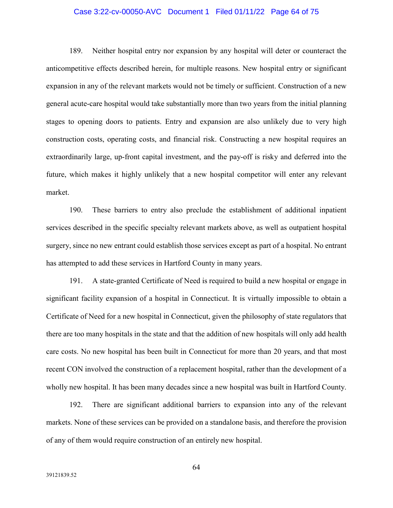## Case 3:22-cv-00050-AVC Document 1 Filed 01/11/22 Page 64 of 75

189. Neither hospital entry nor expansion by any hospital will deter or counteract the anticompetitive effects described herein, for multiple reasons. New hospital entry or significant expansion in any of the relevant markets would not be timely or sufficient. Construction of a new general acute-care hospital would take substantially more than two years from the initial planning stages to opening doors to patients. Entry and expansion are also unlikely due to very high construction costs, operating costs, and financial risk. Constructing a new hospital requires an extraordinarily large, up-front capital investment, and the pay-off is risky and deferred into the future, which makes it highly unlikely that a new hospital competitor will enter any relevant market.

190. These barriers to entry also preclude the establishment of additional inpatient services described in the specific specialty relevant markets above, as well as outpatient hospital surgery, since no new entrant could establish those services except as part of a hospital. No entrant has attempted to add these services in Hartford County in many years.

191. A state-granted Certificate of Need is required to build a new hospital or engage in significant facility expansion of a hospital in Connecticut. It is virtually impossible to obtain a Certificate of Need for a new hospital in Connecticut, given the philosophy of state regulators that there are too many hospitals in the state and that the addition of new hospitals will only add health care costs. No new hospital has been built in Connecticut for more than 20 years, and that most recent CON involved the construction of a replacement hospital, rather than the development of a wholly new hospital. It has been many decades since a new hospital was built in Hartford County.

192. There are significant additional barriers to expansion into any of the relevant markets. None of these services can be provided on a standalone basis, and therefore the provision of any of them would require construction of an entirely new hospital.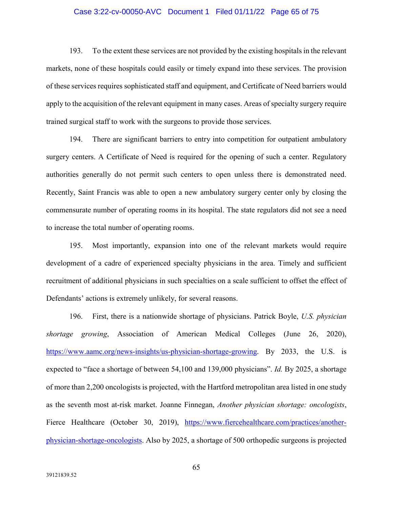## Case 3:22-cv-00050-AVC Document 1 Filed 01/11/22 Page 65 of 75

193. To the extent these services are not provided by the existing hospitals in the relevant markets, none of these hospitals could easily or timely expand into these services. The provision of these services requires sophisticated staff and equipment, and Certificate of Need barriers would apply to the acquisition of the relevant equipment in many cases. Areas of specialty surgery require trained surgical staff to work with the surgeons to provide those services.

194. There are significant barriers to entry into competition for outpatient ambulatory surgery centers. A Certificate of Need is required for the opening of such a center. Regulatory authorities generally do not permit such centers to open unless there is demonstrated need. Recently, Saint Francis was able to open a new ambulatory surgery center only by closing the commensurate number of operating rooms in its hospital. The state regulators did not see a need to increase the total number of operating rooms.

195. Most importantly, expansion into one of the relevant markets would require development of a cadre of experienced specialty physicians in the area. Timely and sufficient recruitment of additional physicians in such specialties on a scale sufficient to offset the effect of Defendants' actions is extremely unlikely, for several reasons.

196. First, there is a nationwide shortage of physicians. Patrick Boyle, *U.S. physician shortage growing*, Association of American Medical Colleges (June 26, 2020), [https://www.aamc.org/news-insights/us-physician-shortage-growing.](https://www.aamc.org/news-insights/us-physician-shortage-growing) By 2033, the U.S. is expected to "face a shortage of between 54,100 and 139,000 physicians". *Id.* By 2025, a shortage of more than 2,200 oncologists is projected, with the Hartford metropolitan area listed in one study as the seventh most at-risk market. Joanne Finnegan, *Another physician shortage: oncologists*, Fierce Healthcare (October 30, 2019), [https://www.fiercehealthcare.com/practices/another](https://www.fiercehealthcare.com/practices/another-physician-shortage-oncologists)[physician-shortage-oncologists.](https://www.fiercehealthcare.com/practices/another-physician-shortage-oncologists) Also by 2025, a shortage of 500 orthopedic surgeons is projected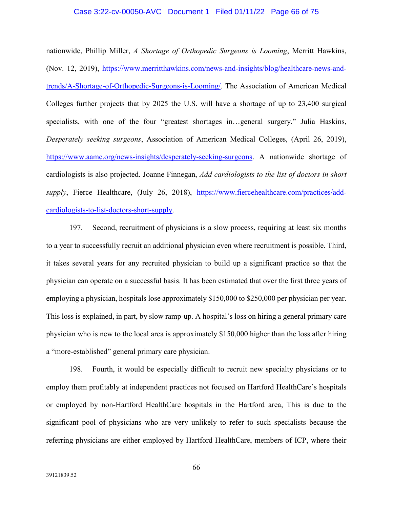## Case 3:22-cv-00050-AVC Document 1 Filed 01/11/22 Page 66 of 75

nationwide, Phillip Miller, *A Shortage of Orthopedic Surgeons is Looming*, Merritt Hawkins, (Nov. 12, 2019), [https://www.merritthawkins.com/news-and-insights/blog/healthcare-news-and](https://www.merritthawkins.com/news-and-insights/blog/healthcare-news-and-trends/A-Shortage-of-Orthopedic-Surgeons-is-Looming/)[trends/A-Shortage-of-Orthopedic-Surgeons-is-Looming/.](https://www.merritthawkins.com/news-and-insights/blog/healthcare-news-and-trends/A-Shortage-of-Orthopedic-Surgeons-is-Looming/) The Association of American Medical Colleges further projects that by 2025 the U.S. will have a shortage of up to 23,400 surgical specialists, with one of the four "greatest shortages in…general surgery." Julia Haskins, *Desperately seeking surgeons*, Association of American Medical Colleges, (April 26, 2019), [https://www.aamc.org/news-insights/desperately-seeking-surgeons.](https://www.aamc.org/news-insights/desperately-seeking-surgeons) A nationwide shortage of cardiologists is also projected. Joanne Finnegan, *Add cardiologists to the list of doctors in short*  supply, Fierce Healthcare, (July 26, 2018), [https://www.fiercehealthcare.com/practices/add](https://www.fiercehealthcare.com/practices/add-cardiologists-to-list-doctors-short-supply)[cardiologists-to-list-doctors-short-supply.](https://www.fiercehealthcare.com/practices/add-cardiologists-to-list-doctors-short-supply)

197. Second, recruitment of physicians is a slow process, requiring at least six months to a year to successfully recruit an additional physician even where recruitment is possible. Third, it takes several years for any recruited physician to build up a significant practice so that the physician can operate on a successful basis. It has been estimated that over the first three years of employing a physician, hospitals lose approximately \$150,000 to \$250,000 per physician per year. This loss is explained, in part, by slow ramp-up. A hospital's loss on hiring a general primary care physician who is new to the local area is approximately \$150,000 higher than the loss after hiring a "more-established" general primary care physician.

198. Fourth, it would be especially difficult to recruit new specialty physicians or to employ them profitably at independent practices not focused on Hartford HealthCare's hospitals or employed by non-Hartford HealthCare hospitals in the Hartford area, This is due to the significant pool of physicians who are very unlikely to refer to such specialists because the referring physicians are either employed by Hartford HealthCare, members of ICP, where their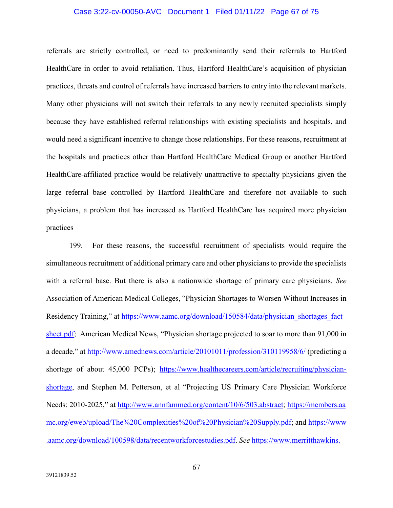# Case 3:22-cv-00050-AVC Document 1 Filed 01/11/22 Page 67 of 75

referrals are strictly controlled, or need to predominantly send their referrals to Hartford HealthCare in order to avoid retaliation. Thus, Hartford HealthCare's acquisition of physician practices, threats and control of referrals have increased barriers to entry into the relevant markets. Many other physicians will not switch their referrals to any newly recruited specialists simply because they have established referral relationships with existing specialists and hospitals, and would need a significant incentive to change those relationships. For these reasons, recruitment at the hospitals and practices other than Hartford HealthCare Medical Group or another Hartford HealthCare-affiliated practice would be relatively unattractive to specialty physicians given the large referral base controlled by Hartford HealthCare and therefore not available to such physicians, a problem that has increased as Hartford HealthCare has acquired more physician practices

199. For these reasons, the successful recruitment of specialists would require the simultaneous recruitment of additional primary care and other physicians to provide the specialists with a referral base. But there is also a nationwide shortage of primary care physicians. *See* Association of American Medical Colleges, "Physician Shortages to Worsen Without Increases in Residency Training," at https://www.aamc.org/download/150584/data/physician shortages fact [sheet.pdf;](https://www.aamc.org/download/150584/data/physician_shortages_factsheet.pdf) American Medical News, "Physician shortage projected to soar to more than 91,000 in a decade," at<http://www.amednews.com/article/20101011/profession/310119958/6/> (predicting a shortage of about 45,000 PCPs); [https://www.healthecareers.com/article/recruiting/physician](https://www.healthecareers.com/article/recruiting/physician-shortage)[shortage,](https://www.healthecareers.com/article/recruiting/physician-shortage) and Stephen M. Petterson, et al "Projecting US Primary Care Physician Workforce Needs: 2010-2025," at [http://www.annfammed.org/content/10/6/503.abstract;](http://www.annfammed.org/content/10/6/503.abstract) [https://members.aa](https://members.aamc.org/eweb/upload/The%20Complexities%20of%20Physician%20Supply.pdf) [mc.org/eweb/upload/The%20Complexities%20of%20Physician%20Supply.pdf;](https://members.aamc.org/eweb/upload/The%20Complexities%20of%20Physician%20Supply.pdf) and [https://www](https://www.aamc.org/download/100598/data/recentworkforcestudies.pdf) [.aamc.org/download/100598/data/recentworkforcestudies.pdf.](https://www.aamc.org/download/100598/data/recentworkforcestudies.pdf) *See* [https://www.merritthawkins.](https://www.merritthawkins.com/uploadedFiles/MerrittHawkins/Pdf/mha2012survpreview.pdf)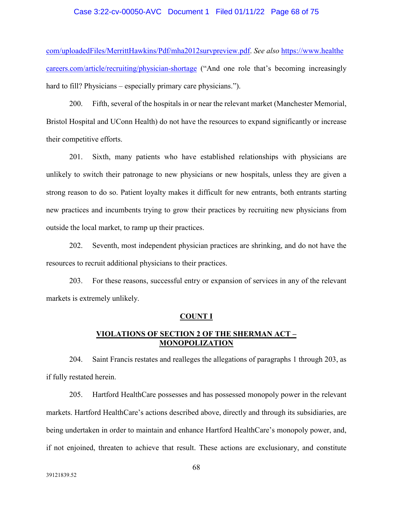#### Case 3:22-cv-00050-AVC Document 1 Filed 01/11/22 Page 68 of 75

[com/uploadedFiles/MerrittHawkins/Pdf/mha2012survpreview.pdf.](https://www.merritthawkins.com/uploadedFiles/MerrittHawkins/Pdf/mha2012survpreview.pdf) *See also* [https://www.healthe](https://www.healthecareers.com/article/recruiting/physician-shortage) [careers.com/article/recruiting/physician-shortage](https://www.healthecareers.com/article/recruiting/physician-shortage) ("And one role that's becoming increasingly hard to fill? Physicians – especially primary care physicians.").

200. Fifth, several of the hospitals in or near the relevant market (Manchester Memorial, Bristol Hospital and UConn Health) do not have the resources to expand significantly or increase their competitive efforts.

201. Sixth, many patients who have established relationships with physicians are unlikely to switch their patronage to new physicians or new hospitals, unless they are given a strong reason to do so. Patient loyalty makes it difficult for new entrants, both entrants starting new practices and incumbents trying to grow their practices by recruiting new physicians from outside the local market, to ramp up their practices.

202. Seventh, most independent physician practices are shrinking, and do not have the resources to recruit additional physicians to their practices.

203. For these reasons, successful entry or expansion of services in any of the relevant markets is extremely unlikely.

#### **COUNT I**

## **VIOLATIONS OF SECTION 2 OF THE SHERMAN ACT – MONOPOLIZATION**

204. Saint Francis restates and realleges the allegations of paragraphs 1 through 203, as if fully restated herein.

205. Hartford HealthCare possesses and has possessed monopoly power in the relevant markets. Hartford HealthCare's actions described above, directly and through its subsidiaries, are being undertaken in order to maintain and enhance Hartford HealthCare's monopoly power, and, if not enjoined, threaten to achieve that result. These actions are exclusionary, and constitute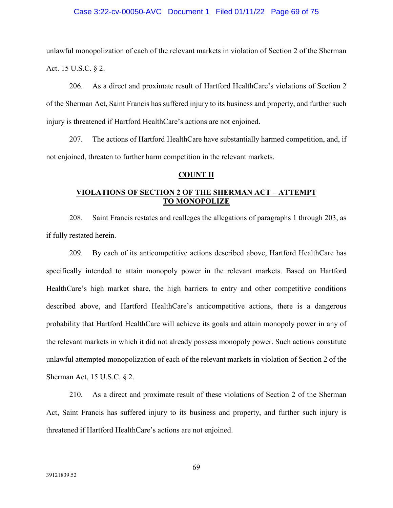## Case 3:22-cv-00050-AVC Document 1 Filed 01/11/22 Page 69 of 75

unlawful monopolization of each of the relevant markets in violation of Section 2 of the Sherman Act. 15 U.S.C. § 2.

206. As a direct and proximate result of Hartford HealthCare's violations of Section 2 of the Sherman Act, Saint Francis has suffered injury to its business and property, and further such injury is threatened if Hartford HealthCare's actions are not enjoined.

207. The actions of Hartford HealthCare have substantially harmed competition, and, if not enjoined, threaten to further harm competition in the relevant markets.

## **COUNT II**

# **VIOLATIONS OF SECTION 2 OF THE SHERMAN ACT – ATTEMPT TO MONOPOLIZE**

208. Saint Francis restates and realleges the allegations of paragraphs 1 through 203, as if fully restated herein.

209. By each of its anticompetitive actions described above, Hartford HealthCare has specifically intended to attain monopoly power in the relevant markets. Based on Hartford HealthCare's high market share, the high barriers to entry and other competitive conditions described above, and Hartford HealthCare's anticompetitive actions, there is a dangerous probability that Hartford HealthCare will achieve its goals and attain monopoly power in any of the relevant markets in which it did not already possess monopoly power. Such actions constitute unlawful attempted monopolization of each of the relevant markets in violation of Section 2 of the Sherman Act, 15 U.S.C. § 2.

210. As a direct and proximate result of these violations of Section 2 of the Sherman Act, Saint Francis has suffered injury to its business and property, and further such injury is threatened if Hartford HealthCare's actions are not enjoined.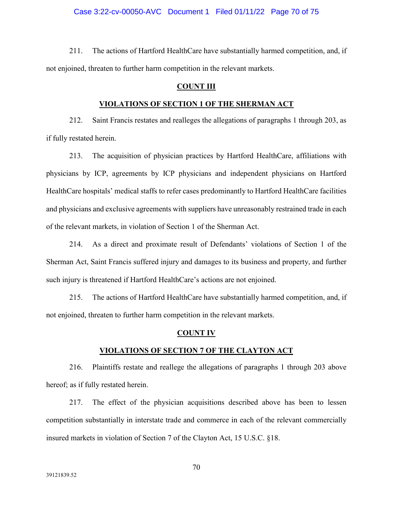211. The actions of Hartford HealthCare have substantially harmed competition, and, if not enjoined, threaten to further harm competition in the relevant markets.

## **COUNT III**

#### **VIOLATIONS OF SECTION 1 OF THE SHERMAN ACT**

212. Saint Francis restates and realleges the allegations of paragraphs 1 through 203, as if fully restated herein.

213. The acquisition of physician practices by Hartford HealthCare, affiliations with physicians by ICP, agreements by ICP physicians and independent physicians on Hartford HealthCare hospitals' medical staffs to refer cases predominantly to Hartford HealthCare facilities and physicians and exclusive agreements with suppliers have unreasonably restrained trade in each of the relevant markets, in violation of Section 1 of the Sherman Act.

214. As a direct and proximate result of Defendants' violations of Section 1 of the Sherman Act, Saint Francis suffered injury and damages to its business and property, and further such injury is threatened if Hartford HealthCare's actions are not enjoined.

215. The actions of Hartford HealthCare have substantially harmed competition, and, if not enjoined, threaten to further harm competition in the relevant markets.

#### **COUNT IV**

## **VIOLATIONS OF SECTION 7 OF THE CLAYTON ACT**

216. Plaintiffs restate and reallege the allegations of paragraphs 1 through 203 above hereof; as if fully restated herein.

217. The effect of the physician acquisitions described above has been to lessen competition substantially in interstate trade and commerce in each of the relevant commercially insured markets in violation of Section 7 of the Clayton Act, 15 U.S.C. §18.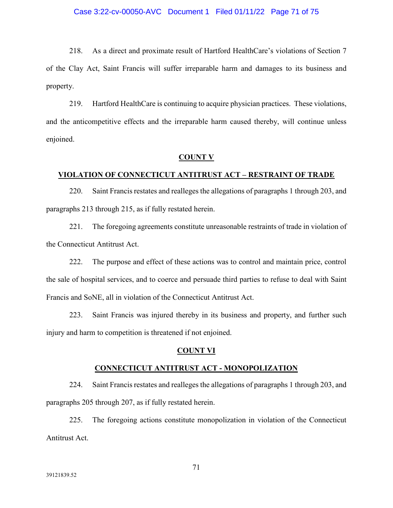## Case 3:22-cv-00050-AVC Document 1 Filed 01/11/22 Page 71 of 75

218. As a direct and proximate result of Hartford HealthCare's violations of Section 7 of the Clay Act, Saint Francis will suffer irreparable harm and damages to its business and property.

219. Hartford HealthCare is continuing to acquire physician practices. These violations, and the anticompetitive effects and the irreparable harm caused thereby, will continue unless enjoined.

#### **COUNT V**

## **VIOLATION OF CONNECTICUT ANTITRUST ACT – RESTRAINT OF TRADE**

220. Saint Francis restates and realleges the allegations of paragraphs 1 through 203, and paragraphs 213 through 215, as if fully restated herein.

221. The foregoing agreements constitute unreasonable restraints of trade in violation of the Connecticut Antitrust Act.

222. The purpose and effect of these actions was to control and maintain price, control the sale of hospital services, and to coerce and persuade third parties to refuse to deal with Saint Francis and SoNE, all in violation of the Connecticut Antitrust Act.

223. Saint Francis was injured thereby in its business and property, and further such injury and harm to competition is threatened if not enjoined.

## **COUNT VI**

## **CONNECTICUT ANTITRUST ACT - MONOPOLIZATION**

224. Saint Francis restates and realleges the allegations of paragraphs 1 through 203, and paragraphs 205 through 207, as if fully restated herein.

225. The foregoing actions constitute monopolization in violation of the Connecticut Antitrust Act.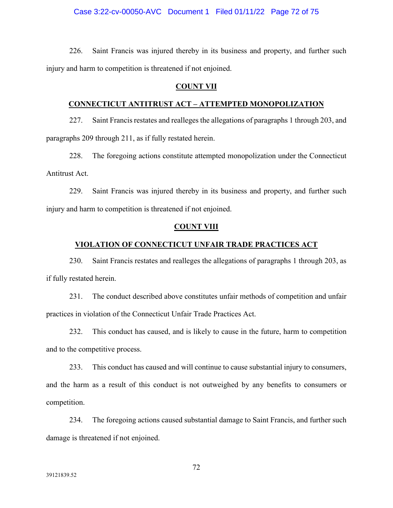#### Case 3:22-cv-00050-AVC Document 1 Filed 01/11/22 Page 72 of 75

226. Saint Francis was injured thereby in its business and property, and further such injury and harm to competition is threatened if not enjoined.

## **COUNT VII**

## **CONNECTICUT ANTITRUST ACT – ATTEMPTED MONOPOLIZATION**

227. Saint Francis restates and realleges the allegations of paragraphs 1 through 203, and paragraphs 209 through 211, as if fully restated herein.

228. The foregoing actions constitute attempted monopolization under the Connecticut Antitrust Act.

229. Saint Francis was injured thereby in its business and property, and further such injury and harm to competition is threatened if not enjoined.

#### **COUNT VIII**

## **VIOLATION OF CONNECTICUT UNFAIR TRADE PRACTICES ACT**

230. Saint Francis restates and realleges the allegations of paragraphs 1 through 203, as if fully restated herein.

231. The conduct described above constitutes unfair methods of competition and unfair practices in violation of the Connecticut Unfair Trade Practices Act.

232. This conduct has caused, and is likely to cause in the future, harm to competition and to the competitive process.

233. This conduct has caused and will continue to cause substantial injury to consumers, and the harm as a result of this conduct is not outweighed by any benefits to consumers or competition.

234. The foregoing actions caused substantial damage to Saint Francis, and further such damage is threatened if not enjoined.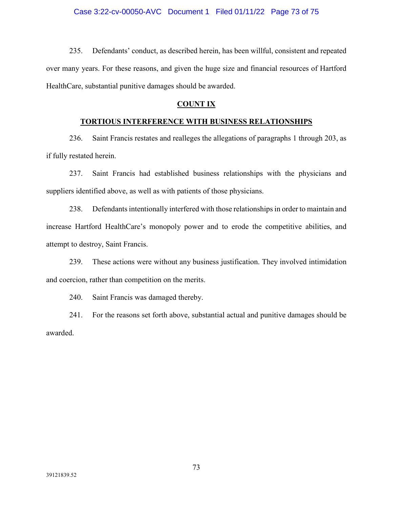235. Defendants' conduct, as described herein, has been willful, consistent and repeated over many years. For these reasons, and given the huge size and financial resources of Hartford HealthCare, substantial punitive damages should be awarded.

## **COUNT IX**

## **TORTIOUS INTERFERENCE WITH BUSINESS RELATIONSHIPS**

236. Saint Francis restates and realleges the allegations of paragraphs 1 through 203, as if fully restated herein.

237. Saint Francis had established business relationships with the physicians and suppliers identified above, as well as with patients of those physicians.

238. Defendants intentionally interfered with those relationships in order to maintain and increase Hartford HealthCare's monopoly power and to erode the competitive abilities, and attempt to destroy, Saint Francis.

239. These actions were without any business justification. They involved intimidation and coercion, rather than competition on the merits.

240. Saint Francis was damaged thereby.

241. For the reasons set forth above, substantial actual and punitive damages should be awarded.

73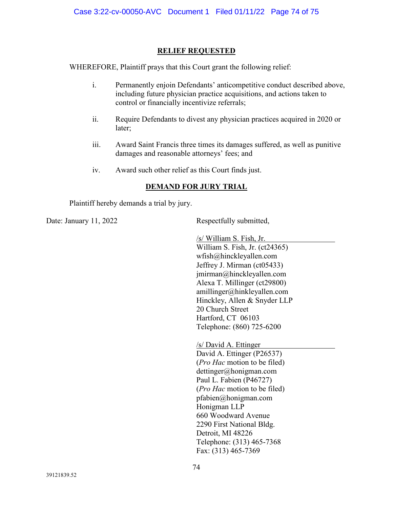## **RELIEF REQUESTED**

WHEREFORE, Plaintiff prays that this Court grant the following relief:

- i. Permanently enjoin Defendants' anticompetitive conduct described above, including future physician practice acquisitions, and actions taken to control or financially incentivize referrals;
- ii. Require Defendants to divest any physician practices acquired in 2020 or later;
- iii. Award Saint Francis three times its damages suffered, as well as punitive damages and reasonable attorneys' fees; and
- iv. Award such other relief as this Court finds just.

## **DEMAND FOR JURY TRIAL**

Plaintiff hereby demands a trial by jury.

Date: January 11, 2022 Respectfully submitted,

/s/ William S. Fish, Jr. William S. Fish, Jr. (ct24365) wfish@hinckleyallen.com Jeffrey J. Mirman (ct05433) jmirman@hinckleyallen.com Alexa T. Millinger (ct29800) amillinger@hinkleyallen.com Hinckley, Allen & Snyder LLP 20 Church Street

Hartford, CT 06103 Telephone: (860) 725-6200

/s/ David A. Ettinger David A. Ettinger (P26537) (*Pro Hac* motion to be filed) dettinger@honigman.com Paul L. Fabien (P46727) (*Pro Hac* motion to be filed) pfabien@honigman.com Honigman LLP 660 Woodward Avenue 2290 First National Bldg. Detroit, MI 48226 Telephone: (313) 465-7368 Fax: (313) 465-7369